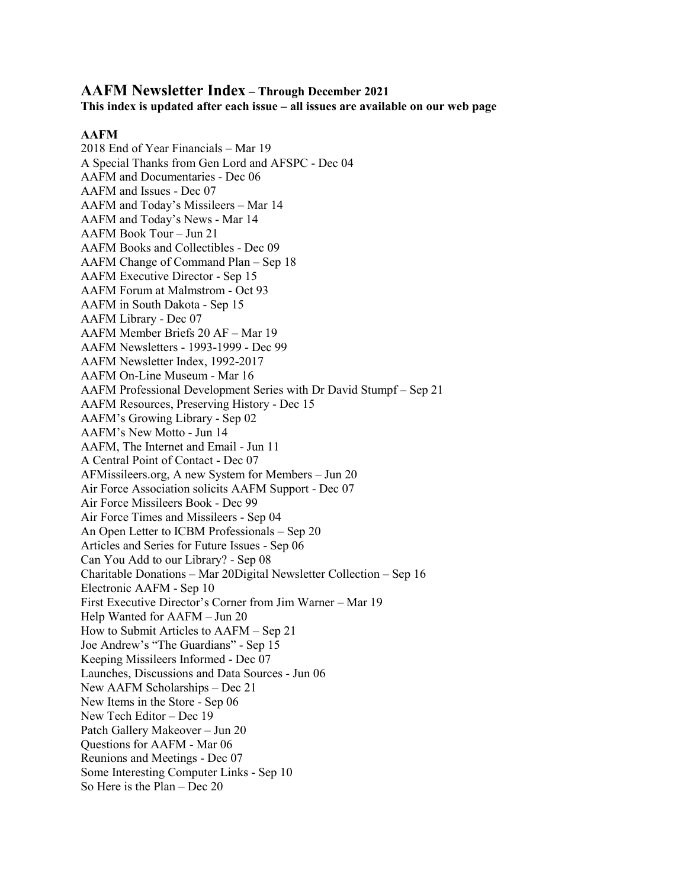# **AAFM Newsletter Index – Through December 2021**

**This index is updated after each issue – all issues are available on our web page**

# **AAFM**

2018 End of Year Financials – Mar 19 A Special Thanks from Gen Lord and AFSPC - Dec 04 AAFM and Documentaries - Dec 06 AAFM and Issues - Dec 07 AAFM and Today's Missileers – Mar 14 AAFM and Today's News - Mar 14 AAFM Book Tour – Jun 21 AAFM Books and Collectibles - Dec 09 AAFM Change of Command Plan – Sep 18 AAFM Executive Director - Sep 15 AAFM Forum at Malmstrom - Oct 93 AAFM in South Dakota - Sep 15 AAFM Library - Dec 07 AAFM Member Briefs 20 AF – Mar 19 AAFM Newsletters - 1993-1999 - Dec 99 AAFM Newsletter Index, 1992-2017 AAFM On-Line Museum - Mar 16 AAFM Professional Development Series with Dr David Stumpf – Sep 21 AAFM Resources, Preserving History - Dec 15 AAFM's Growing Library - Sep 02 AAFM's New Motto - Jun 14 AAFM, The Internet and Email - Jun 11 A Central Point of Contact - Dec 07 AFMissileers.org, A new System for Members – Jun 20 Air Force Association solicits AAFM Support - Dec 07 Air Force Missileers Book - Dec 99 Air Force Times and Missileers - Sep 04 An Open Letter to ICBM Professionals – Sep 20 Articles and Series for Future Issues - Sep 06 Can You Add to our Library? - Sep 08 Charitable Donations – Mar 20Digital Newsletter Collection – Sep 16 Electronic AAFM - Sep 10 First Executive Director's Corner from Jim Warner – Mar 19 Help Wanted for AAFM – Jun 20 How to Submit Articles to AAFM – Sep 21 Joe Andrew's "The Guardians" - Sep 15 Keeping Missileers Informed - Dec 07 Launches, Discussions and Data Sources - Jun 06 New AAFM Scholarships – Dec 21 New Items in the Store - Sep 06 New Tech Editor – Dec 19 Patch Gallery Makeover – Jun 20 Questions for AAFM - Mar 06 Reunions and Meetings - Dec 07 Some Interesting Computer Links - Sep 10 So Here is the Plan – Dec 20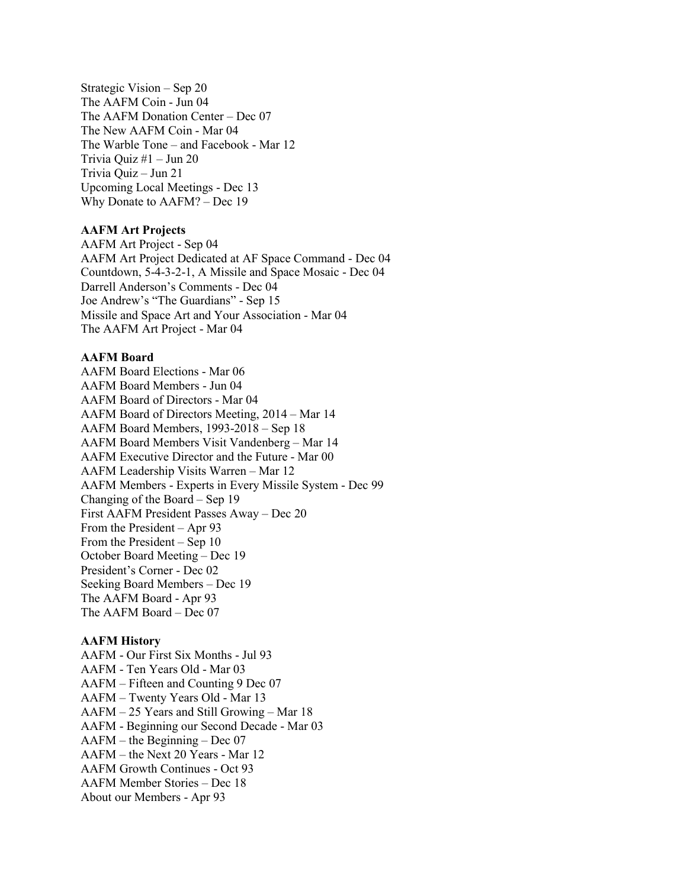Strategic Vision – Sep 20 The AAFM Coin - Jun 04 The AAFM Donation Center – Dec 07 The New AAFM Coin - Mar 04 The Warble Tone – and Facebook - Mar 12 Trivia Quiz #1 – Jun 20 Trivia Quiz – Jun 21 Upcoming Local Meetings - Dec 13 Why Donate to AAFM? – Dec 19

## **AAFM Art Projects**

AAFM Art Project - Sep 04 AAFM Art Project Dedicated at AF Space Command - Dec 04 Countdown, 5-4-3-2-1, A Missile and Space Mosaic - Dec 04 Darrell Anderson's Comments - Dec 04 Joe Andrew's "The Guardians" - Sep 15 Missile and Space Art and Your Association - Mar 04 The AAFM Art Project - Mar 04

## **AAFM Board**

AAFM Board Elections - Mar 06 AAFM Board Members - Jun 04 AAFM Board of Directors - Mar 04 AAFM Board of Directors Meeting, 2014 – Mar 14 AAFM Board Members, 1993-2018 – Sep 18 AAFM Board Members Visit Vandenberg – Mar 14 AAFM Executive Director and the Future - Mar 00 AAFM Leadership Visits Warren – Mar 12 AAFM Members - Experts in Every Missile System - Dec 99 Changing of the Board – Sep 19 First AAFM President Passes Away – Dec 20 From the President – Apr 93 From the President – Sep 10 October Board Meeting – Dec 19 President's Corner - Dec 02 Seeking Board Members – Dec 19 The AAFM Board - Apr 93 The AAFM Board – Dec 07

## **AAFM History**

AAFM - Our First Six Months - Jul 93 AAFM - Ten Years Old - Mar 03 AAFM – Fifteen and Counting 9 Dec 07 AAFM – Twenty Years Old - Mar 13 AAFM – 25 Years and Still Growing – Mar 18 AAFM - Beginning our Second Decade - Mar 03 AAFM – the Beginning – Dec 07 AAFM – the Next 20 Years - Mar 12 AAFM Growth Continues - Oct 93 AAFM Member Stories – Dec 18 About our Members - Apr 93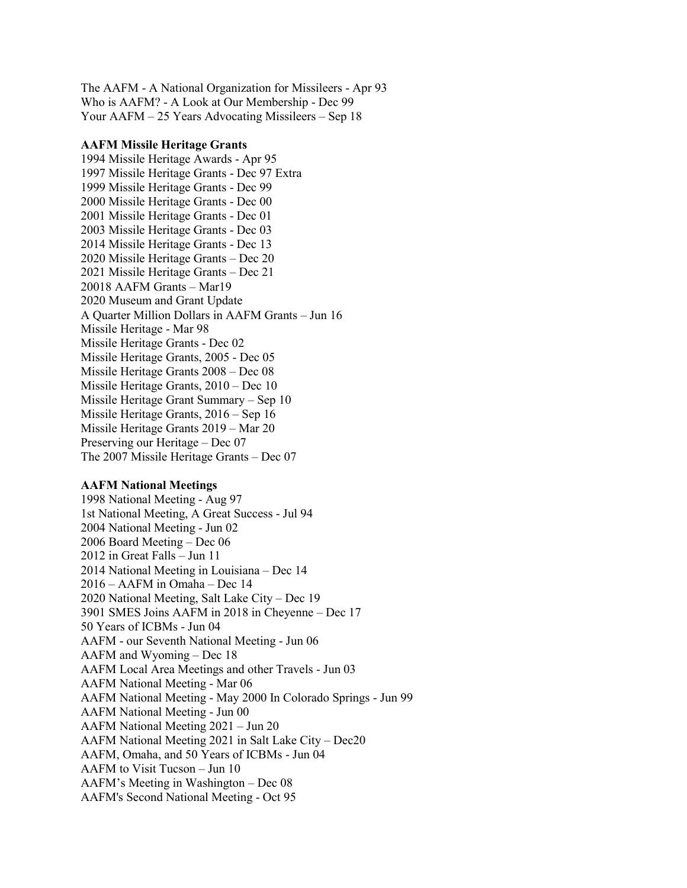The AAFM - A National Organization for Missileers - Apr 93 Who is AAFM? - A Look at Our Membership - Dec 99 Your AAFM – 25 Years Advocating Missileers – Sep 18

#### **AAFM Missile Heritage Grants**

1994 Missile Heritage Awards - Apr 95 1997 Missile Heritage Grants - Dec 97 Extra 1999 Missile Heritage Grants - Dec 99 2000 Missile Heritage Grants - Dec 00 2001 Missile Heritage Grants - Dec 01 2003 Missile Heritage Grants - Dec 03 2014 Missile Heritage Grants - Dec 13 2020 Missile Heritage Grants – Dec 20 2021 Missile Heritage Grants – Dec 21 20018 AAFM Grants – Mar19 2020 Museum and Grant Update A Quarter Million Dollars in AAFM Grants – Jun 16 Missile Heritage - Mar 98 Missile Heritage Grants - Dec 02 Missile Heritage Grants, 2005 - Dec 05 Missile Heritage Grants 2008 – Dec 08 Missile Heritage Grants, 2010 – Dec 10 Missile Heritage Grant Summary – Sep 10 Missile Heritage Grants, 2016 – Sep 16 Missile Heritage Grants 2019 – Mar 20 Preserving our Heritage – Dec 07 The 2007 Missile Heritage Grants – Dec 07

#### **AAFM National Meetings**

1998 National Meeting - Aug 97 1st National Meeting, A Great Success - Jul 94 2004 National Meeting - Jun 02 2006 Board Meeting – Dec 06 2012 in Great Falls – Jun 11 2014 National Meeting in Louisiana – Dec 14 2016 – AAFM in Omaha – Dec 14 2020 National Meeting, Salt Lake City – Dec 19 3901 SMES Joins AAFM in 2018 in Cheyenne – Dec 17 50 Years of ICBMs - Jun 04 AAFM - our Seventh National Meeting - Jun 06 AAFM and Wyoming – Dec 18 AAFM Local Area Meetings and other Travels - Jun 03 AAFM National Meeting - Mar 06 AAFM National Meeting - May 2000 In Colorado Springs - Jun 99 AAFM National Meeting - Jun 00 AAFM National Meeting 2021 – Jun 20 AAFM National Meeting 2021 in Salt Lake City – Dec20 AAFM, Omaha, and 50 Years of ICBMs - Jun 04 AAFM to Visit Tucson – Jun 10 AAFM's Meeting in Washington – Dec 08 AAFM's Second National Meeting - Oct 95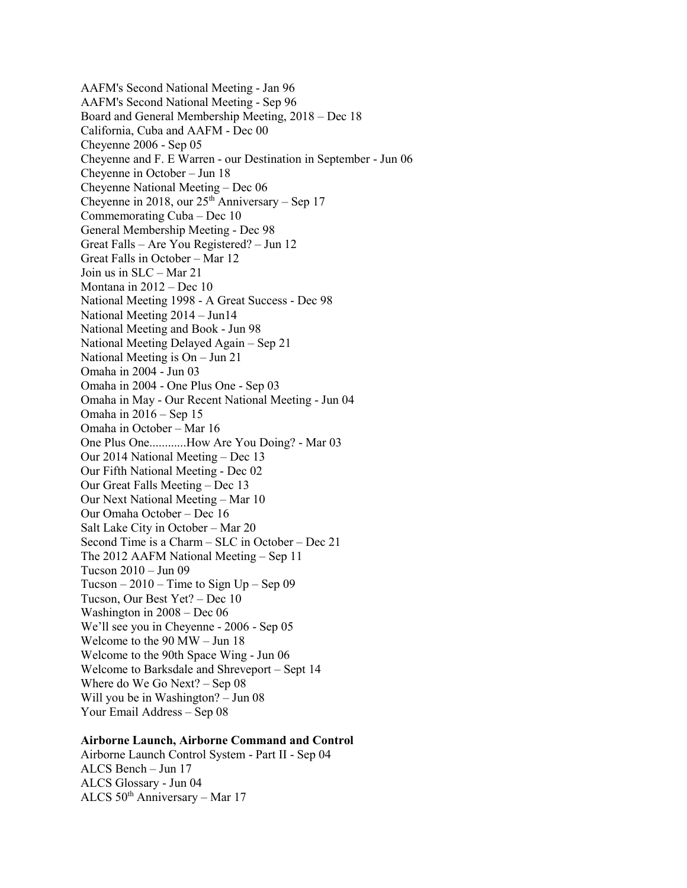AAFM's Second National Meeting - Jan 96 AAFM's Second National Meeting - Sep 96 Board and General Membership Meeting, 2018 – Dec 18 California, Cuba and AAFM - Dec 00 Cheyenne 2006 - Sep 05 Cheyenne and F. E Warren - our Destination in September - Jun 06 Cheyenne in October – Jun 18 Cheyenne National Meeting – Dec 06 Cheyenne in 2018, our  $25<sup>th</sup>$  Anniversary – Sep 17 Commemorating Cuba – Dec 10 General Membership Meeting - Dec 98 Great Falls – Are You Registered? – Jun 12 Great Falls in October – Mar 12 Join us in SLC – Mar 21 Montana in 2012 – Dec 10 National Meeting 1998 - A Great Success - Dec 98 National Meeting 2014 – Jun14 National Meeting and Book - Jun 98 National Meeting Delayed Again – Sep 21 National Meeting is On – Jun 21 Omaha in 2004 - Jun 03 Omaha in 2004 - One Plus One - Sep 03 Omaha in May - Our Recent National Meeting - Jun 04 Omaha in 2016 – Sep 15 Omaha in October – Mar 16 One Plus One............How Are You Doing? - Mar 03 Our 2014 National Meeting – Dec 13 Our Fifth National Meeting - Dec 02 Our Great Falls Meeting – Dec 13 Our Next National Meeting – Mar 10 Our Omaha October – Dec 16 Salt Lake City in October – Mar 20 Second Time is a Charm – SLC in October – Dec 21 The 2012 AAFM National Meeting – Sep 11 Tucson 2010 – Jun 09 Tucson  $-2010$  – Time to Sign Up – Sep 09 Tucson, Our Best Yet? – Dec 10 Washington in 2008 – Dec 06 We'll see you in Cheyenne - 2006 - Sep 05 Welcome to the 90 MW – Jun 18 Welcome to the 90th Space Wing - Jun 06 Welcome to Barksdale and Shreveport – Sept 14 Where do We Go Next? – Sep 08 Will you be in Washington? – Jun 08 Your Email Address – Sep 08

# **Airborne Launch, Airborne Command and Control**

Airborne Launch Control System - Part II - Sep 04 ALCS Bench – Jun 17 ALCS Glossary - Jun 04 ALCS  $50<sup>th</sup>$  Anniversary – Mar 17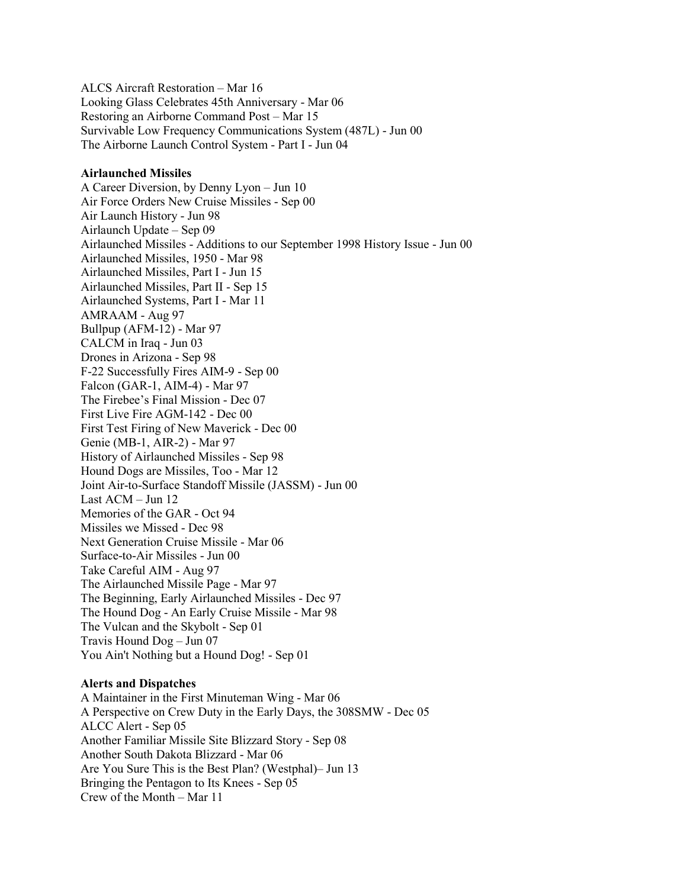ALCS Aircraft Restoration – Mar 16 Looking Glass Celebrates 45th Anniversary - Mar 06 Restoring an Airborne Command Post – Mar 15 Survivable Low Frequency Communications System (487L) - Jun 00 The Airborne Launch Control System - Part I - Jun 04

## **Airlaunched Missiles**

A Career Diversion, by Denny Lyon – Jun 10 Air Force Orders New Cruise Missiles - Sep 00 Air Launch History - Jun 98 Airlaunch Update – Sep 09 Airlaunched Missiles - Additions to our September 1998 History Issue - Jun 00 Airlaunched Missiles, 1950 - Mar 98 Airlaunched Missiles, Part I - Jun 15 Airlaunched Missiles, Part II - Sep 15 Airlaunched Systems, Part I - Mar 11 AMRAAM - Aug 97 Bullpup (AFM-12) - Mar 97 CALCM in Iraq - Jun 03 Drones in Arizona - Sep 98 F-22 Successfully Fires AIM-9 - Sep 00 Falcon (GAR-1, AIM-4) - Mar 97 The Firebee's Final Mission - Dec 07 First Live Fire AGM-142 - Dec 00 First Test Firing of New Maverick - Dec 00 Genie (MB-1, AIR-2) - Mar 97 History of Airlaunched Missiles - Sep 98 Hound Dogs are Missiles, Too - Mar 12 Joint Air-to-Surface Standoff Missile (JASSM) - Jun 00 Last ACM – Jun 12 Memories of the GAR - Oct 94 Missiles we Missed - Dec 98 Next Generation Cruise Missile - Mar 06 Surface-to-Air Missiles - Jun 00 Take Careful AIM - Aug 97 The Airlaunched Missile Page - Mar 97 The Beginning, Early Airlaunched Missiles - Dec 97 The Hound Dog - An Early Cruise Missile - Mar 98 The Vulcan and the Skybolt - Sep 01 Travis Hound Dog – Jun 07 You Ain't Nothing but a Hound Dog! - Sep 01

## **Alerts and Dispatches**

A Maintainer in the First Minuteman Wing - Mar 06 A Perspective on Crew Duty in the Early Days, the 308SMW - Dec 05 ALCC Alert - Sep 05 Another Familiar Missile Site Blizzard Story - Sep 08 Another South Dakota Blizzard - Mar 06 Are You Sure This is the Best Plan? (Westphal)– Jun 13 Bringing the Pentagon to Its Knees - Sep 05 Crew of the Month – Mar 11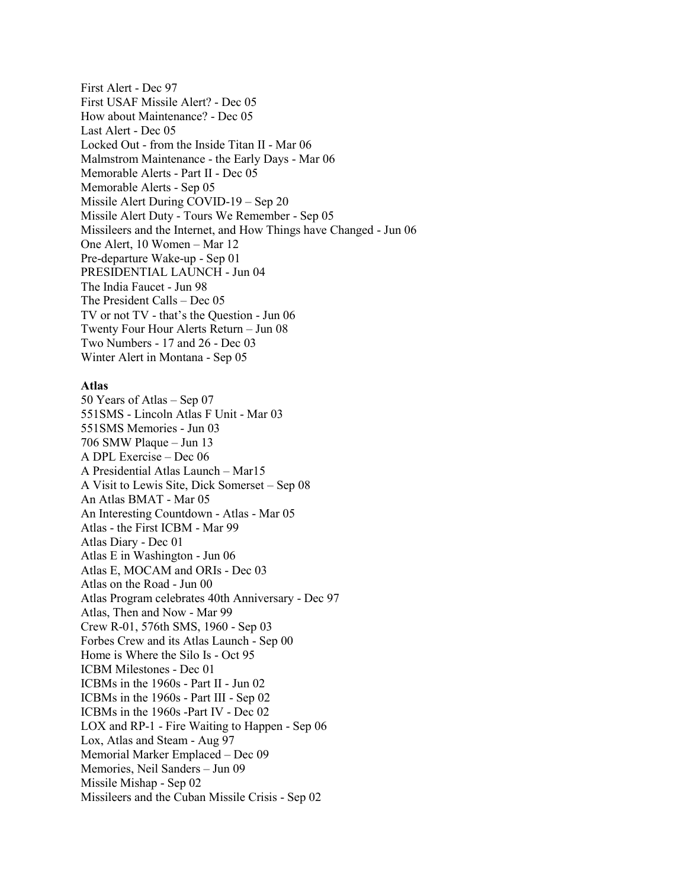First Alert - Dec 97 First USAF Missile Alert? - Dec 05 How about Maintenance? - Dec 05 Last Alert - Dec 05 Locked Out - from the Inside Titan II - Mar 06 Malmstrom Maintenance - the Early Days - Mar 06 Memorable Alerts - Part II - Dec 05 Memorable Alerts - Sep 05 Missile Alert During COVID-19 – Sep 20 Missile Alert Duty - Tours We Remember - Sep 05 Missileers and the Internet, and How Things have Changed - Jun 06 One Alert, 10 Women – Mar 12 Pre-departure Wake-up - Sep 01 PRESIDENTIAL LAUNCH - Jun 04 The India Faucet - Jun 98 The President Calls – Dec 05 TV or not TV - that's the Question - Jun 06 Twenty Four Hour Alerts Return – Jun 08 Two Numbers - 17 and 26 - Dec 03 Winter Alert in Montana - Sep 05

## **Atlas**

50 Years of Atlas – Sep 07 551SMS - Lincoln Atlas F Unit - Mar 03 551SMS Memories - Jun 03 706 SMW Plaque – Jun 13 A DPL Exercise – Dec 06 A Presidential Atlas Launch – Mar15 A Visit to Lewis Site, Dick Somerset – Sep 08 An Atlas BMAT - Mar 05 An Interesting Countdown - Atlas - Mar 05 Atlas - the First ICBM - Mar 99 Atlas Diary - Dec 01 Atlas E in Washington - Jun 06 Atlas E, MOCAM and ORIs - Dec 03 Atlas on the Road - Jun 00 Atlas Program celebrates 40th Anniversary - Dec 97 Atlas, Then and Now - Mar 99 Crew R-01, 576th SMS, 1960 - Sep 03 Forbes Crew and its Atlas Launch - Sep 00 Home is Where the Silo Is - Oct 95 ICBM Milestones - Dec 01 ICBMs in the 1960s - Part II - Jun 02 ICBMs in the 1960s - Part III - Sep 02 ICBMs in the 1960s -Part IV - Dec 02 LOX and RP-1 - Fire Waiting to Happen - Sep 06 Lox, Atlas and Steam - Aug 97 Memorial Marker Emplaced – Dec 09 Memories, Neil Sanders – Jun 09 Missile Mishap - Sep 02 Missileers and the Cuban Missile Crisis - Sep 02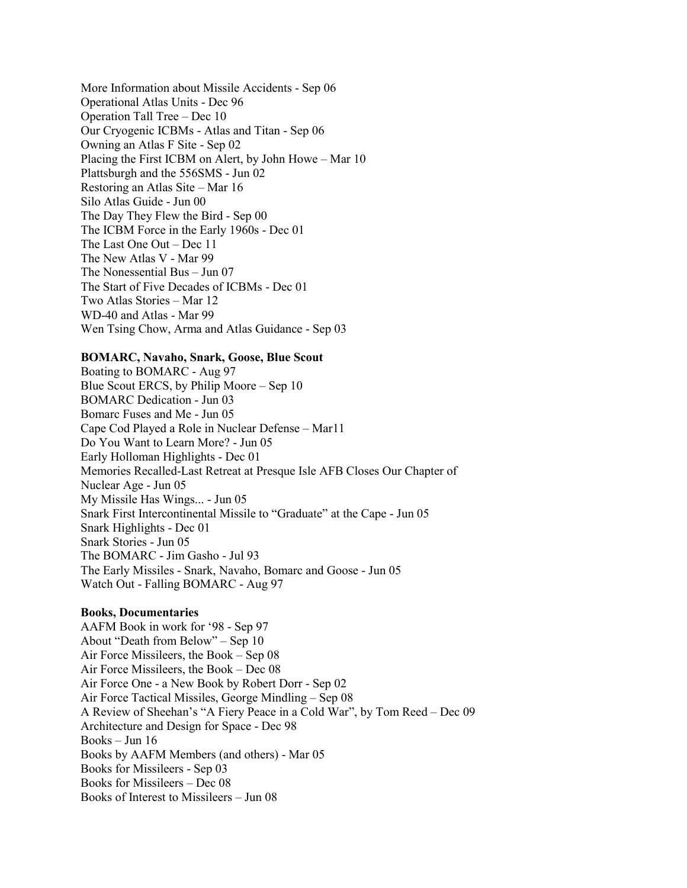More Information about Missile Accidents - Sep 06 Operational Atlas Units - Dec 96 Operation Tall Tree – Dec 10 Our Cryogenic ICBMs - Atlas and Titan - Sep 06 Owning an Atlas F Site - Sep 02 Placing the First ICBM on Alert, by John Howe – Mar 10 Plattsburgh and the 556SMS - Jun 02 Restoring an Atlas Site – Mar 16 Silo Atlas Guide - Jun 00 The Day They Flew the Bird - Sep 00 The ICBM Force in the Early 1960s - Dec 01 The Last One Out – Dec 11 The New Atlas V - Mar 99 The Nonessential Bus – Jun 07 The Start of Five Decades of ICBMs - Dec 01 Two Atlas Stories – Mar 12 WD-40 and Atlas - Mar 99 Wen Tsing Chow, Arma and Atlas Guidance - Sep 03

## **BOMARC, Navaho, Snark, Goose, Blue Scout**

Boating to BOMARC - Aug 97 Blue Scout ERCS, by Philip Moore – Sep 10 BOMARC Dedication - Jun 03 Bomarc Fuses and Me - Jun 05 Cape Cod Played a Role in Nuclear Defense – Mar11 Do You Want to Learn More? - Jun 05 Early Holloman Highlights - Dec 01 Memories Recalled-Last Retreat at Presque Isle AFB Closes Our Chapter of Nuclear Age - Jun 05 My Missile Has Wings... - Jun 05 Snark First Intercontinental Missile to "Graduate" at the Cape - Jun 05 Snark Highlights - Dec 01 Snark Stories - Jun 05 The BOMARC - Jim Gasho - Jul 93 The Early Missiles - Snark, Navaho, Bomarc and Goose - Jun 05 Watch Out - Falling BOMARC - Aug 97

## **Books, Documentaries**

AAFM Book in work for '98 - Sep 97 About "Death from Below" – Sep 10 Air Force Missileers, the Book – Sep 08 Air Force Missileers, the Book – Dec 08 Air Force One - a New Book by Robert Dorr - Sep 02 Air Force Tactical Missiles, George Mindling – Sep 08 A Review of Sheehan's "A Fiery Peace in a Cold War", by Tom Reed – Dec 09 Architecture and Design for Space - Dec 98 Books – Jun 16 Books by AAFM Members (and others) - Mar 05 Books for Missileers - Sep 03 Books for Missileers – Dec 08 Books of Interest to Missileers – Jun 08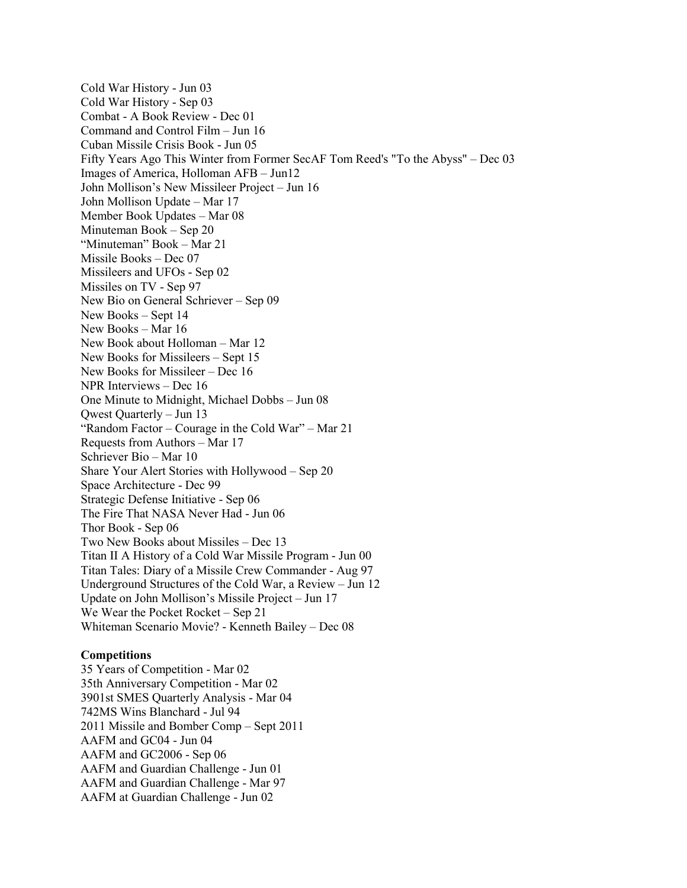Cold War History - Jun 03 Cold War History - Sep 03 Combat - A Book Review - Dec 01 Command and Control Film – Jun 16 Cuban Missile Crisis Book - Jun 05 Fifty Years Ago This Winter from Former SecAF Tom Reed's "To the Abyss" – Dec 03 Images of America, Holloman AFB – Jun12 John Mollison's New Missileer Project – Jun 16 John Mollison Update – Mar 17 Member Book Updates – Mar 08 Minuteman Book – Sep 20 "Minuteman" Book – Mar 21 Missile Books – Dec 07 Missileers and UFOs - Sep 02 Missiles on TV - Sep 97 New Bio on General Schriever – Sep 09 New Books – Sept 14 New Books – Mar 16 New Book about Holloman – Mar 12 New Books for Missileers – Sept 15 New Books for Missileer – Dec 16 NPR Interviews – Dec 16 One Minute to Midnight, Michael Dobbs – Jun 08 Qwest Quarterly – Jun 13 "Random Factor – Courage in the Cold War" – Mar 21 Requests from Authors – Mar 17 Schriever Bio – Mar 10 Share Your Alert Stories with Hollywood – Sep 20 Space Architecture - Dec 99 Strategic Defense Initiative - Sep 06 The Fire That NASA Never Had - Jun 06 Thor Book - Sep 06 Two New Books about Missiles – Dec 13 Titan II A History of a Cold War Missile Program - Jun 00 Titan Tales: Diary of a Missile Crew Commander - Aug 97 Underground Structures of the Cold War, a Review – Jun 12 Update on John Mollison's Missile Project – Jun 17 We Wear the Pocket Rocket – Sep 21 Whiteman Scenario Movie? - Kenneth Bailey – Dec 08

# **Competitions**

35 Years of Competition - Mar 02 35th Anniversary Competition - Mar 02 3901st SMES Quarterly Analysis - Mar 04 742MS Wins Blanchard - Jul 94 2011 Missile and Bomber Comp – Sept 2011 AAFM and GC04 - Jun 04 AAFM and GC2006 - Sep 06 AAFM and Guardian Challenge - Jun 01 AAFM and Guardian Challenge - Mar 97 AAFM at Guardian Challenge - Jun 02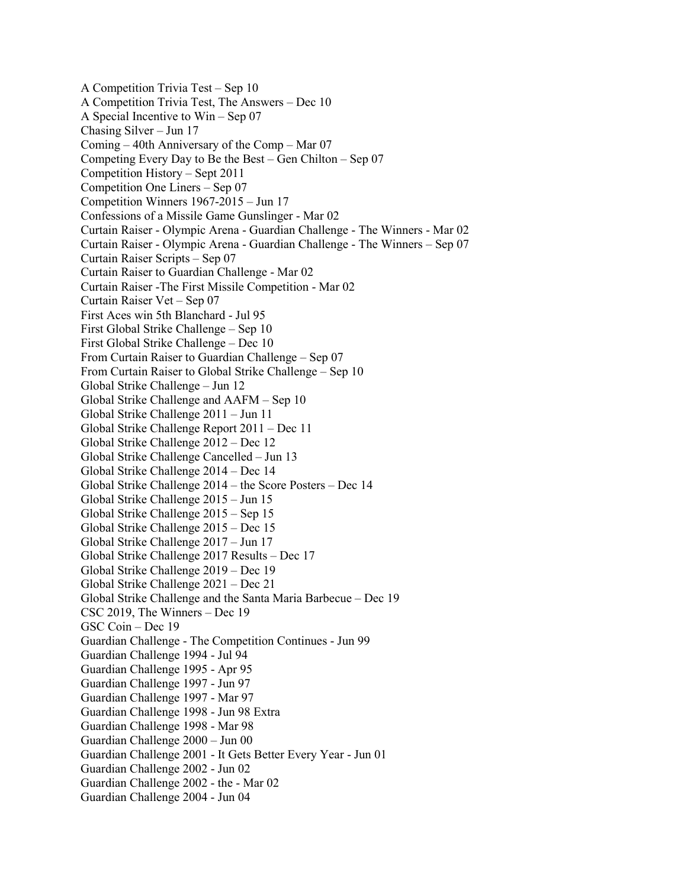A Competition Trivia Test – Sep 10 A Competition Trivia Test, The Answers – Dec 10 A Special Incentive to Win – Sep 07 Chasing Silver – Jun 17 Coming – 40th Anniversary of the Comp – Mar 07 Competing Every Day to Be the Best – Gen Chilton – Sep 07 Competition History – Sept 2011 Competition One Liners – Sep 07 Competition Winners 1967-2015 – Jun 17 Confessions of a Missile Game Gunslinger - Mar 02 Curtain Raiser - Olympic Arena - Guardian Challenge - The Winners - Mar 02 Curtain Raiser - Olympic Arena - Guardian Challenge - The Winners – Sep 07 Curtain Raiser Scripts – Sep 07 Curtain Raiser to Guardian Challenge - Mar 02 Curtain Raiser -The First Missile Competition - Mar 02 Curtain Raiser Vet – Sep 07 First Aces win 5th Blanchard - Jul 95 First Global Strike Challenge – Sep 10 First Global Strike Challenge – Dec 10 From Curtain Raiser to Guardian Challenge – Sep 07 From Curtain Raiser to Global Strike Challenge – Sep 10 Global Strike Challenge – Jun 12 Global Strike Challenge and AAFM – Sep 10 Global Strike Challenge 2011 – Jun 11 Global Strike Challenge Report 2011 – Dec 11 Global Strike Challenge 2012 – Dec 12 Global Strike Challenge Cancelled – Jun 13 Global Strike Challenge 2014 – Dec 14 Global Strike Challenge 2014 – the Score Posters – Dec 14 Global Strike Challenge 2015 – Jun 15 Global Strike Challenge 2015 – Sep 15 Global Strike Challenge 2015 – Dec 15 Global Strike Challenge 2017 – Jun 17 Global Strike Challenge 2017 Results – Dec 17 Global Strike Challenge 2019 – Dec 19 Global Strike Challenge 2021 – Dec 21 Global Strike Challenge and the Santa Maria Barbecue – Dec 19 CSC 2019, The Winners – Dec 19 GSC Coin – Dec 19 Guardian Challenge - The Competition Continues - Jun 99 Guardian Challenge 1994 - Jul 94 Guardian Challenge 1995 - Apr 95 Guardian Challenge 1997 - Jun 97 Guardian Challenge 1997 - Mar 97 Guardian Challenge 1998 - Jun 98 Extra Guardian Challenge 1998 - Mar 98 Guardian Challenge 2000 – Jun 00 Guardian Challenge 2001 - It Gets Better Every Year - Jun 01 Guardian Challenge 2002 - Jun 02 Guardian Challenge 2002 - the - Mar 02 Guardian Challenge 2004 - Jun 04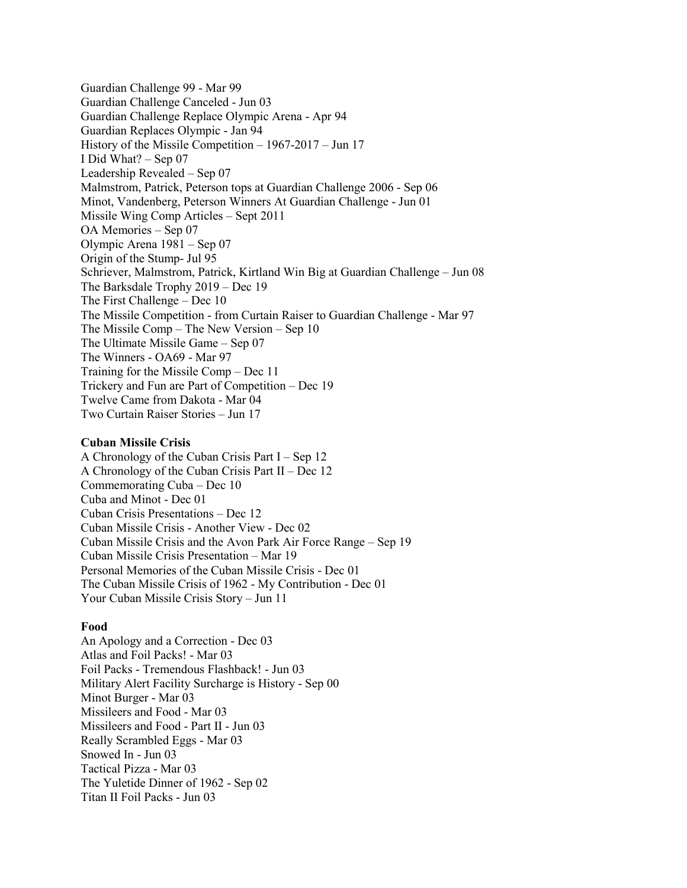Guardian Challenge 99 - Mar 99 Guardian Challenge Canceled - Jun 03 Guardian Challenge Replace Olympic Arena - Apr 94 Guardian Replaces Olympic - Jan 94 History of the Missile Competition – 1967-2017 – Jun 17 I Did What? – Sep 07 Leadership Revealed – Sep 07 Malmstrom, Patrick, Peterson tops at Guardian Challenge 2006 - Sep 06 Minot, Vandenberg, Peterson Winners At Guardian Challenge - Jun 01 Missile Wing Comp Articles – Sept 2011 OA Memories – Sep 07 Olympic Arena 1981 – Sep 07 Origin of the Stump- Jul 95 Schriever, Malmstrom, Patrick, Kirtland Win Big at Guardian Challenge – Jun 08 The Barksdale Trophy 2019 – Dec 19 The First Challenge – Dec 10 The Missile Competition - from Curtain Raiser to Guardian Challenge - Mar 97 The Missile Comp – The New Version – Sep 10 The Ultimate Missile Game – Sep 07 The Winners - OA69 - Mar 97 Training for the Missile Comp – Dec 11 Trickery and Fun are Part of Competition – Dec 19 Twelve Came from Dakota - Mar 04 Two Curtain Raiser Stories – Jun 17

## **Cuban Missile Crisis**

A Chronology of the Cuban Crisis Part I – Sep 12 A Chronology of the Cuban Crisis Part II – Dec 12 Commemorating Cuba – Dec 10 Cuba and Minot - Dec 01 Cuban Crisis Presentations – Dec 12 Cuban Missile Crisis - Another View - Dec 02 Cuban Missile Crisis and the Avon Park Air Force Range – Sep 19 Cuban Missile Crisis Presentation – Mar 19 Personal Memories of the Cuban Missile Crisis - Dec 01 The Cuban Missile Crisis of 1962 - My Contribution - Dec 01 Your Cuban Missile Crisis Story – Jun 11

## **Food**

An Apology and a Correction - Dec 03 Atlas and Foil Packs! - Mar 03 Foil Packs - Tremendous Flashback! - Jun 03 Military Alert Facility Surcharge is History - Sep 00 Minot Burger - Mar 03 Missileers and Food - Mar 03 Missileers and Food - Part II - Jun 03 Really Scrambled Eggs - Mar 03 Snowed In - Jun 03 Tactical Pizza - Mar 03 The Yuletide Dinner of 1962 - Sep 02 Titan II Foil Packs - Jun 03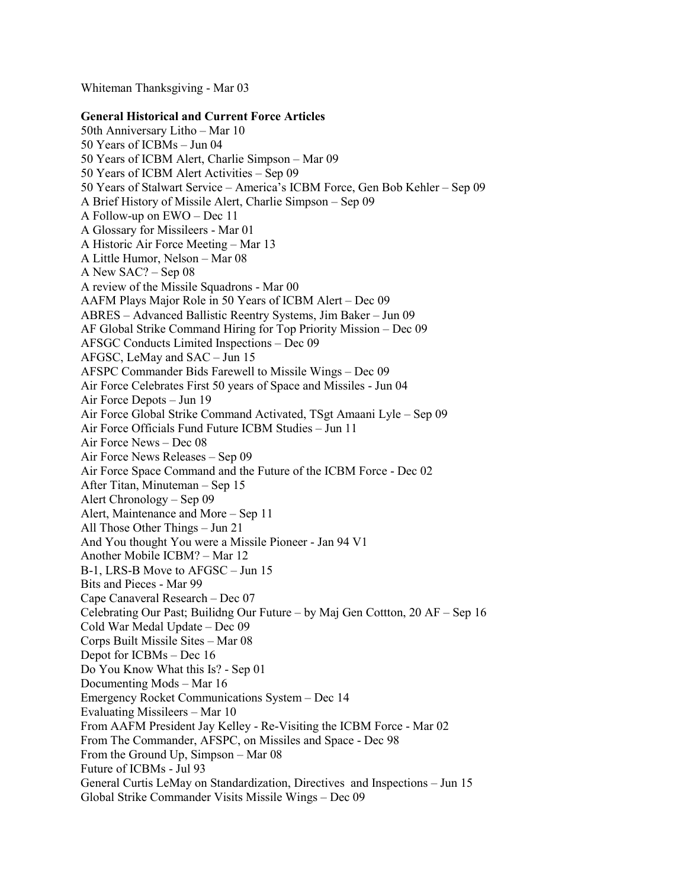Whiteman Thanksgiving - Mar 03

# **General Historical and Current Force Articles**

50th Anniversary Litho – Mar 10 50 Years of ICBMs – Jun 04 50 Years of ICBM Alert, Charlie Simpson – Mar 09 50 Years of ICBM Alert Activities – Sep 09 50 Years of Stalwart Service – America's ICBM Force, Gen Bob Kehler – Sep 09 A Brief History of Missile Alert, Charlie Simpson – Sep 09 A Follow-up on EWO – Dec 11 A Glossary for Missileers - Mar 01 A Historic Air Force Meeting – Mar 13 A Little Humor, Nelson – Mar 08 A New SAC? – Sep 08 A review of the Missile Squadrons - Mar 00 AAFM Plays Major Role in 50 Years of ICBM Alert – Dec 09 ABRES – Advanced Ballistic Reentry Systems, Jim Baker – Jun 09 AF Global Strike Command Hiring for Top Priority Mission – Dec 09 AFSGC Conducts Limited Inspections – Dec 09 AFGSC, LeMay and SAC – Jun 15 AFSPC Commander Bids Farewell to Missile Wings – Dec 09 Air Force Celebrates First 50 years of Space and Missiles - Jun 04 Air Force Depots – Jun 19 Air Force Global Strike Command Activated, TSgt Amaani Lyle – Sep 09 Air Force Officials Fund Future ICBM Studies – Jun 11 Air Force News – Dec 08 Air Force News Releases – Sep 09 Air Force Space Command and the Future of the ICBM Force - Dec 02 After Titan, Minuteman – Sep 15 Alert Chronology – Sep 09 Alert, Maintenance and More – Sep 11 All Those Other Things – Jun 21 And You thought You were a Missile Pioneer - Jan 94 V1 Another Mobile ICBM? – Mar 12 B-1, LRS-B Move to AFGSC – Jun 15 Bits and Pieces - Mar 99 Cape Canaveral Research – Dec 07 Celebrating Our Past; Builidng Our Future – by Maj Gen Cottton, 20 AF – Sep 16 Cold War Medal Update – Dec 09 Corps Built Missile Sites – Mar 08 Depot for ICBMs – Dec 16 Do You Know What this Is? - Sep 01 Documenting Mods – Mar 16 Emergency Rocket Communications System – Dec 14 Evaluating Missileers – Mar 10 From AAFM President Jay Kelley - Re-Visiting the ICBM Force - Mar 02 From The Commander, AFSPC, on Missiles and Space - Dec 98 From the Ground Up, Simpson – Mar 08 Future of ICBMs - Jul 93 General Curtis LeMay on Standardization, Directives and Inspections – Jun 15 Global Strike Commander Visits Missile Wings – Dec 09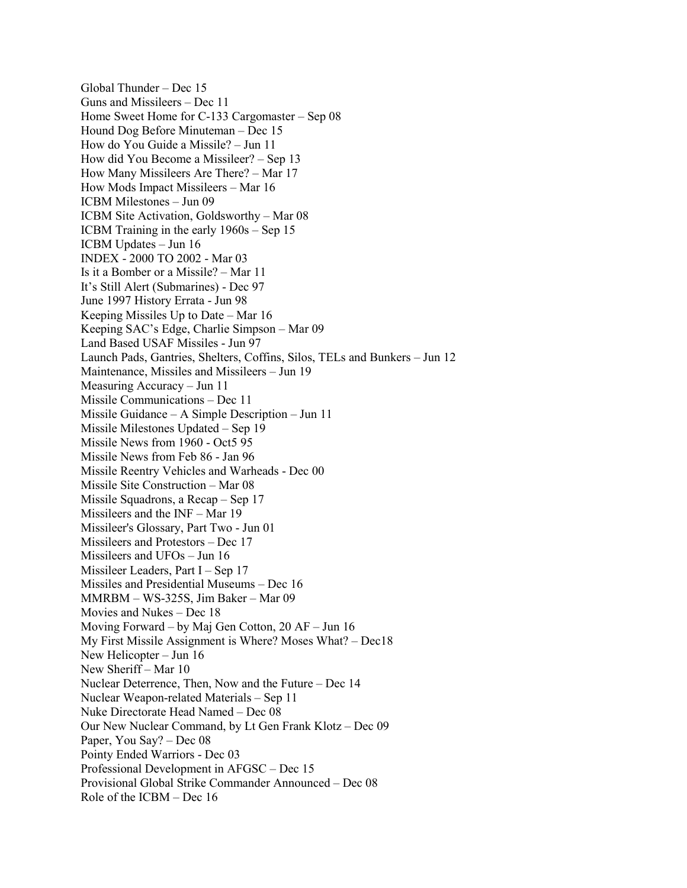Global Thunder – Dec 15 Guns and Missileers – Dec 11 Home Sweet Home for C-133 Cargomaster – Sep 08 Hound Dog Before Minuteman – Dec 15 How do You Guide a Missile? – Jun 11 How did You Become a Missileer? – Sep 13 How Many Missileers Are There? – Mar 17 How Mods Impact Missileers – Mar 16 ICBM Milestones – Jun 09 ICBM Site Activation, Goldsworthy – Mar 08 ICBM Training in the early 1960s – Sep 15 ICBM Updates – Jun 16 INDEX - 2000 TO 2002 - Mar 03 Is it a Bomber or a Missile? – Mar 11 It's Still Alert (Submarines) - Dec 97 June 1997 History Errata - Jun 98 Keeping Missiles Up to Date – Mar 16 Keeping SAC's Edge, Charlie Simpson – Mar 09 Land Based USAF Missiles - Jun 97 Launch Pads, Gantries, Shelters, Coffins, Silos, TELs and Bunkers – Jun 12 Maintenance, Missiles and Missileers – Jun 19 Measuring Accuracy – Jun 11 Missile Communications – Dec 11 Missile Guidance – A Simple Description – Jun 11 Missile Milestones Updated – Sep 19 Missile News from 1960 - Oct5 95 Missile News from Feb 86 - Jan 96 Missile Reentry Vehicles and Warheads - Dec 00 Missile Site Construction – Mar 08 Missile Squadrons, a Recap – Sep 17 Missileers and the INF – Mar 19 Missileer's Glossary, Part Two - Jun 01 Missileers and Protestors – Dec 17 Missileers and UFOs – Jun 16 Missileer Leaders, Part I – Sep 17 Missiles and Presidential Museums – Dec 16 MMRBM – WS-325S, Jim Baker – Mar 09 Movies and Nukes – Dec 18 Moving Forward – by Maj Gen Cotton, 20 AF – Jun 16 My First Missile Assignment is Where? Moses What? – Dec18 New Helicopter – Jun 16 New Sheriff – Mar 10 Nuclear Deterrence, Then, Now and the Future – Dec 14 Nuclear Weapon-related Materials – Sep 11 Nuke Directorate Head Named – Dec 08 Our New Nuclear Command, by Lt Gen Frank Klotz – Dec 09 Paper, You Say? – Dec 08 Pointy Ended Warriors - Dec 03 Professional Development in AFGSC – Dec 15 Provisional Global Strike Commander Announced – Dec 08 Role of the ICBM – Dec 16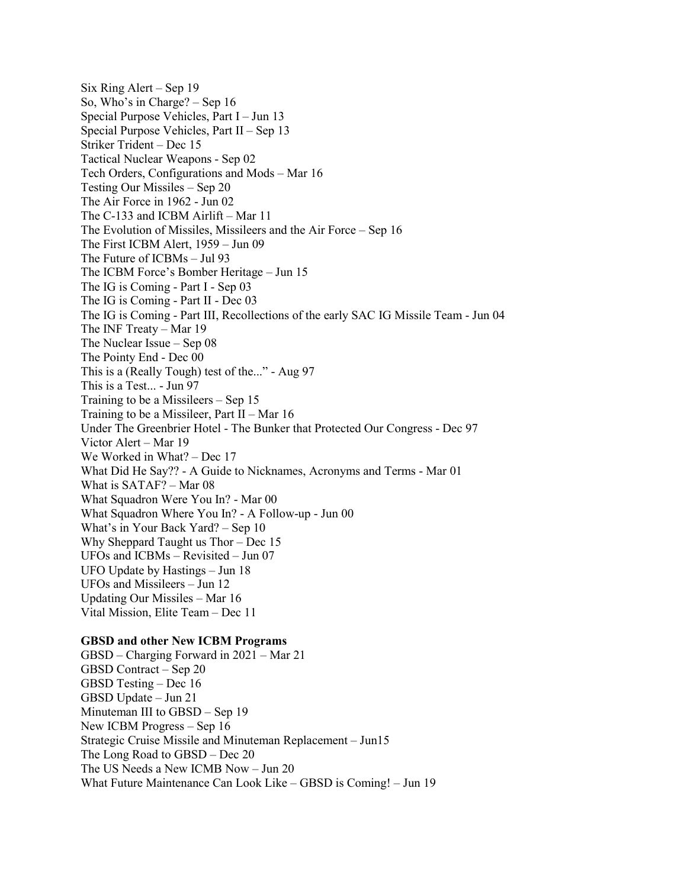Six Ring Alert – Sep 19 So, Who's in Charge? – Sep 16 Special Purpose Vehicles, Part I – Jun 13 Special Purpose Vehicles, Part II – Sep 13 Striker Trident – Dec 15 Tactical Nuclear Weapons - Sep 02 Tech Orders, Configurations and Mods – Mar 16 Testing Our Missiles – Sep 20 The Air Force in 1962 - Jun 02 The C-133 and ICBM Airlift – Mar 11 The Evolution of Missiles, Missileers and the Air Force – Sep 16 The First ICBM Alert, 1959 – Jun 09 The Future of ICBMs – Jul 93 The ICBM Force's Bomber Heritage – Jun 15 The IG is Coming - Part I - Sep 03 The IG is Coming - Part II - Dec 03 The IG is Coming - Part III, Recollections of the early SAC IG Missile Team - Jun 04 The INF Treaty – Mar 19 The Nuclear Issue – Sep 08 The Pointy End - Dec 00 This is a (Really Tough) test of the..." - Aug 97 This is a Test... - Jun 97 Training to be a Missileers – Sep 15 Training to be a Missileer, Part II – Mar 16 Under The Greenbrier Hotel - The Bunker that Protected Our Congress - Dec 97 Victor Alert – Mar 19 We Worked in What? – Dec 17 What Did He Say?? - A Guide to Nicknames, Acronyms and Terms - Mar 01 What is SATAF? – Mar 08 What Squadron Were You In? - Mar 00 What Squadron Where You In? - A Follow-up - Jun 00 What's in Your Back Yard? – Sep 10 Why Sheppard Taught us Thor – Dec 15 UFOs and ICBMs – Revisited – Jun 07 UFO Update by Hastings – Jun 18 UFOs and Missileers – Jun 12 Updating Our Missiles – Mar 16 Vital Mission, Elite Team – Dec 11

#### **GBSD and other New ICBM Programs**

GBSD – Charging Forward in 2021 – Mar 21 GBSD Contract – Sep 20 GBSD Testing – Dec 16 GBSD Update – Jun 21 Minuteman III to GBSD – Sep 19 New ICBM Progress – Sep 16 Strategic Cruise Missile and Minuteman Replacement – Jun15 The Long Road to GBSD – Dec 20 The US Needs a New ICMB Now – Jun 20 What Future Maintenance Can Look Like – GBSD is Coming! – Jun 19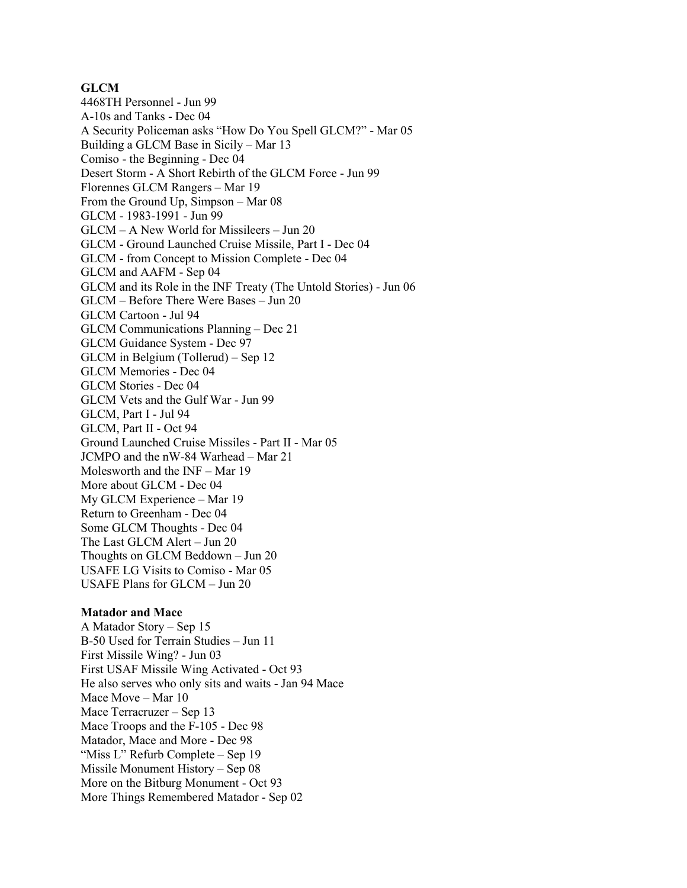## **GLCM**

4468TH Personnel - Jun 99 A-10s and Tanks - Dec 04 A Security Policeman asks "How Do You Spell GLCM?" - Mar 05 Building a GLCM Base in Sicily – Mar 13 Comiso - the Beginning - Dec 04 Desert Storm - A Short Rebirth of the GLCM Force - Jun 99 Florennes GLCM Rangers – Mar 19 From the Ground Up, Simpson – Mar 08 GLCM - 1983-1991 - Jun 99 GLCM – A New World for Missileers – Jun 20 GLCM - Ground Launched Cruise Missile, Part I - Dec 04 GLCM - from Concept to Mission Complete - Dec 04 GLCM and AAFM - Sep 04 GLCM and its Role in the INF Treaty (The Untold Stories) - Jun 06 GLCM – Before There Were Bases – Jun 20 GLCM Cartoon - Jul 94 GLCM Communications Planning – Dec 21 GLCM Guidance System - Dec 97 GLCM in Belgium (Tollerud) – Sep 12 GLCM Memories - Dec 04 GLCM Stories - Dec 04 GLCM Vets and the Gulf War - Jun 99 GLCM, Part I - Jul 94 GLCM, Part II - Oct 94 Ground Launched Cruise Missiles - Part II - Mar 05 JCMPO and the nW-84 Warhead – Mar 21 Molesworth and the INF – Mar 19 More about GLCM - Dec 04 My GLCM Experience – Mar 19 Return to Greenham - Dec 04 Some GLCM Thoughts - Dec 04 The Last GLCM Alert – Jun 20 Thoughts on GLCM Beddown – Jun 20 USAFE LG Visits to Comiso - Mar 05 USAFE Plans for GLCM – Jun 20

#### **Matador and Mace**

A Matador Story – Sep 15 B-50 Used for Terrain Studies – Jun 11 First Missile Wing? - Jun 03 First USAF Missile Wing Activated - Oct 93 He also serves who only sits and waits - Jan 94 Mace Mace Move – Mar 10 Mace Terracruzer – Sep 13 Mace Troops and the F-105 - Dec 98 Matador, Mace and More - Dec 98 "Miss L" Refurb Complete – Sep 19 Missile Monument History – Sep 08 More on the Bitburg Monument - Oct 93 More Things Remembered Matador - Sep 02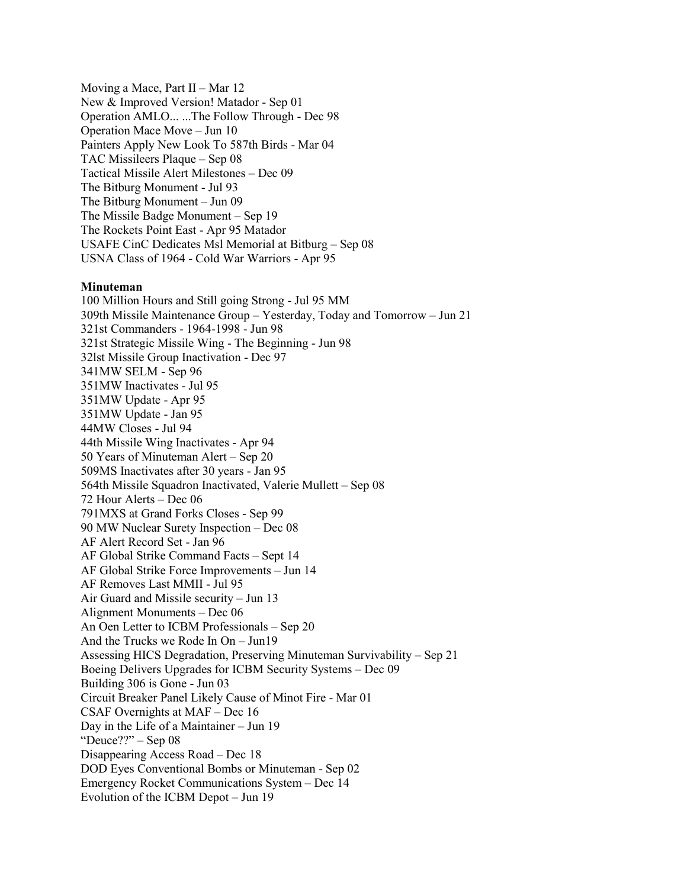Moving a Mace, Part  $II - Mar 12$ New & Improved Version! Matador - Sep 01 Operation AMLO... ...The Follow Through - Dec 98 Operation Mace Move – Jun 10 Painters Apply New Look To 587th Birds - Mar 04 TAC Missileers Plaque – Sep 08 Tactical Missile Alert Milestones – Dec 09 The Bitburg Monument - Jul 93 The Bitburg Monument – Jun 09 The Missile Badge Monument – Sep 19 The Rockets Point East - Apr 95 Matador USAFE CinC Dedicates Msl Memorial at Bitburg – Sep 08 USNA Class of 1964 - Cold War Warriors - Apr 95

## **Minuteman**

100 Million Hours and Still going Strong - Jul 95 MM 309th Missile Maintenance Group – Yesterday, Today and Tomorrow – Jun 21 321st Commanders - 1964-1998 - Jun 98 321st Strategic Missile Wing - The Beginning - Jun 98 32lst Missile Group Inactivation - Dec 97 341MW SELM - Sep 96 351MW Inactivates - Jul 95 351MW Update - Apr 95 351MW Update - Jan 95 44MW Closes - Jul 94 44th Missile Wing Inactivates - Apr 94 50 Years of Minuteman Alert – Sep 20 509MS Inactivates after 30 years - Jan 95 564th Missile Squadron Inactivated, Valerie Mullett – Sep 08 72 Hour Alerts – Dec 06 791MXS at Grand Forks Closes - Sep 99 90 MW Nuclear Surety Inspection – Dec 08 AF Alert Record Set - Jan 96 AF Global Strike Command Facts – Sept 14 AF Global Strike Force Improvements – Jun 14 AF Removes Last MMII - Jul 95 Air Guard and Missile security – Jun 13 Alignment Monuments – Dec 06 An Oen Letter to ICBM Professionals – Sep 20 And the Trucks we Rode In On – Jun19 Assessing HICS Degradation, Preserving Minuteman Survivability – Sep 21 Boeing Delivers Upgrades for ICBM Security Systems – Dec 09 Building 306 is Gone - Jun 03 Circuit Breaker Panel Likely Cause of Minot Fire - Mar 01 CSAF Overnights at MAF – Dec 16 Day in the Life of a Maintainer – Jun 19 "Deuce??" – Sep 08 Disappearing Access Road – Dec 18 DOD Eyes Conventional Bombs or Minuteman - Sep 02 Emergency Rocket Communications System – Dec 14 Evolution of the ICBM Depot – Jun 19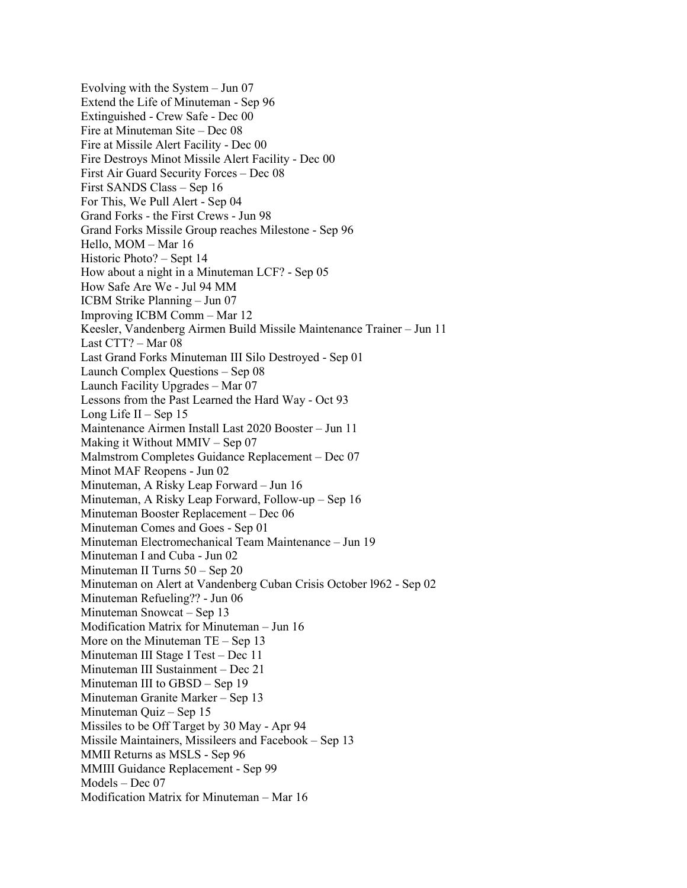Evolving with the System – Jun 07 Extend the Life of Minuteman - Sep 96 Extinguished - Crew Safe - Dec 00 Fire at Minuteman Site – Dec 08 Fire at Missile Alert Facility - Dec 00 Fire Destroys Minot Missile Alert Facility - Dec 00 First Air Guard Security Forces – Dec 08 First SANDS Class – Sep 16 For This, We Pull Alert - Sep 04 Grand Forks - the First Crews - Jun 98 Grand Forks Missile Group reaches Milestone - Sep 96 Hello, MOM – Mar 16 Historic Photo? – Sept 14 How about a night in a Minuteman LCF? - Sep 05 How Safe Are We - Jul 94 MM ICBM Strike Planning – Jun 07 Improving ICBM Comm – Mar 12 Keesler, Vandenberg Airmen Build Missile Maintenance Trainer – Jun 11 Last CTT? – Mar 08 Last Grand Forks Minuteman III Silo Destroyed - Sep 01 Launch Complex Questions – Sep 08 Launch Facility Upgrades – Mar 07 Lessons from the Past Learned the Hard Way - Oct 93 Long Life  $II -$  Sep 15 Maintenance Airmen Install Last 2020 Booster – Jun 11 Making it Without MMIV – Sep 07 Malmstrom Completes Guidance Replacement – Dec 07 Minot MAF Reopens - Jun 02 Minuteman, A Risky Leap Forward – Jun 16 Minuteman, A Risky Leap Forward, Follow-up – Sep 16 Minuteman Booster Replacement – Dec 06 Minuteman Comes and Goes - Sep 01 Minuteman Electromechanical Team Maintenance – Jun 19 Minuteman I and Cuba - Jun 02 Minuteman II Turns 50 – Sep 20 Minuteman on Alert at Vandenberg Cuban Crisis October l962 - Sep 02 Minuteman Refueling?? - Jun 06 Minuteman Snowcat – Sep 13 Modification Matrix for Minuteman – Jun 16 More on the Minuteman TE – Sep 13 Minuteman III Stage I Test – Dec 11 Minuteman III Sustainment – Dec 21 Minuteman III to GBSD – Sep 19 Minuteman Granite Marker – Sep 13 Minuteman Quiz – Sep 15 Missiles to be Off Target by 30 May - Apr 94 Missile Maintainers, Missileers and Facebook – Sep 13 MMII Returns as MSLS - Sep 96 MMIII Guidance Replacement - Sep 99 Models – Dec 07 Modification Matrix for Minuteman – Mar 16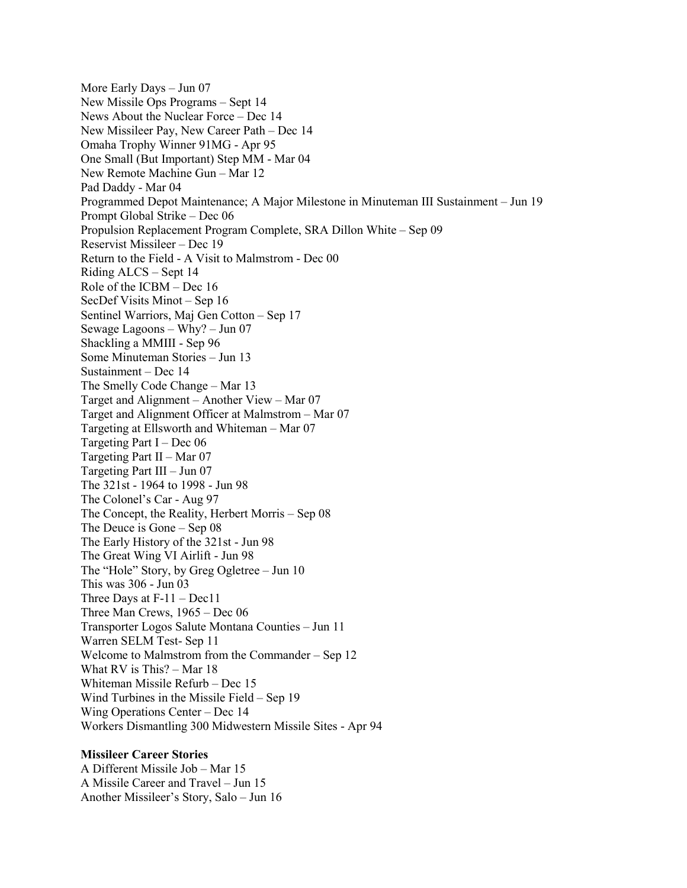More Early Days – Jun 07 New Missile Ops Programs – Sept 14 News About the Nuclear Force – Dec 14 New Missileer Pay, New Career Path – Dec 14 Omaha Trophy Winner 91MG - Apr 95 One Small (But Important) Step MM - Mar 04 New Remote Machine Gun – Mar 12 Pad Daddy - Mar 04 Programmed Depot Maintenance; A Major Milestone in Minuteman III Sustainment – Jun 19 Prompt Global Strike – Dec 06 Propulsion Replacement Program Complete, SRA Dillon White – Sep 09 Reservist Missileer – Dec 19 Return to the Field - A Visit to Malmstrom - Dec 00 Riding ALCS – Sept 14 Role of the ICBM – Dec 16 SecDef Visits Minot – Sep 16 Sentinel Warriors, Maj Gen Cotton – Sep 17 Sewage Lagoons – Why? – Jun 07 Shackling a MMIII - Sep 96 Some Minuteman Stories – Jun 13 Sustainment – Dec 14 The Smelly Code Change – Mar 13 Target and Alignment – Another View – Mar 07 Target and Alignment Officer at Malmstrom – Mar 07 Targeting at Ellsworth and Whiteman – Mar 07 Targeting Part I – Dec  $06$ Targeting Part II – Mar 07 Targeting Part III – Jun 07 The 321st - 1964 to 1998 - Jun 98 The Colonel's Car - Aug 97 The Concept, the Reality, Herbert Morris – Sep 08 The Deuce is Gone – Sep 08 The Early History of the 321st - Jun 98 The Great Wing VI Airlift - Jun 98 The "Hole" Story, by Greg Ogletree – Jun 10 This was 306 - Jun 03 Three Days at F-11 – Dec11 Three Man Crews, 1965 – Dec 06 Transporter Logos Salute Montana Counties – Jun 11 Warren SELM Test- Sep 11 Welcome to Malmstrom from the Commander – Sep 12 What RV is This? – Mar 18 Whiteman Missile Refurb – Dec 15 Wind Turbines in the Missile Field – Sep 19 Wing Operations Center – Dec 14 Workers Dismantling 300 Midwestern Missile Sites - Apr 94

## **Missileer Career Stories**

A Different Missile Job – Mar 15 A Missile Career and Travel – Jun 15 Another Missileer's Story, Salo – Jun 16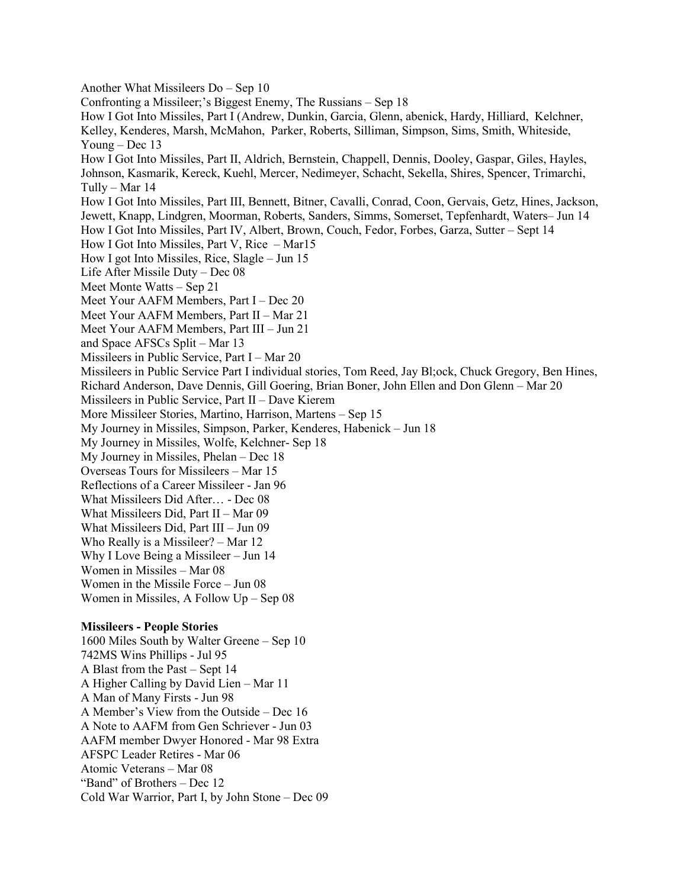Another What Missileers Do – Sep 10 Confronting a Missileer;'s Biggest Enemy, The Russians – Sep 18 How I Got Into Missiles, Part I (Andrew, Dunkin, Garcia, Glenn, abenick, Hardy, Hilliard, Kelchner, Kelley, Kenderes, Marsh, McMahon, Parker, Roberts, Silliman, Simpson, Sims, Smith, Whiteside, Young – Dec 13 How I Got Into Missiles, Part II, Aldrich, Bernstein, Chappell, Dennis, Dooley, Gaspar, Giles, Hayles, Johnson, Kasmarik, Kereck, Kuehl, Mercer, Nedimeyer, Schacht, Sekella, Shires, Spencer, Trimarchi, Tully – Mar 14 How I Got Into Missiles, Part III, Bennett, Bitner, Cavalli, Conrad, Coon, Gervais, Getz, Hines, Jackson, Jewett, Knapp, Lindgren, Moorman, Roberts, Sanders, Simms, Somerset, Tepfenhardt, Waters– Jun 14 How I Got Into Missiles, Part IV, Albert, Brown, Couch, Fedor, Forbes, Garza, Sutter – Sept 14 How I Got Into Missiles, Part V, Rice – Mar15 How I got Into Missiles, Rice, Slagle – Jun 15 Life After Missile Duty – Dec 08 Meet Monte Watts – Sep 21 Meet Your AAFM Members, Part I – Dec 20 Meet Your AAFM Members, Part II – Mar 21 Meet Your AAFM Members, Part III – Jun 21 and Space AFSCs Split – Mar 13 Missileers in Public Service, Part I – Mar 20 Missileers in Public Service Part I individual stories, Tom Reed, Jay Bl;ock, Chuck Gregory, Ben Hines, Richard Anderson, Dave Dennis, Gill Goering, Brian Boner, John Ellen and Don Glenn – Mar 20 Missileers in Public Service, Part II – Dave Kierem More Missileer Stories, Martino, Harrison, Martens – Sep 15 My Journey in Missiles, Simpson, Parker, Kenderes, Habenick – Jun 18 My Journey in Missiles, Wolfe, Kelchner- Sep 18 My Journey in Missiles, Phelan – Dec 18 Overseas Tours for Missileers – Mar 15 Reflections of a Career Missileer - Jan 96 What Missileers Did After… - Dec 08 What Missileers Did, Part II – Mar 09 What Missileers Did, Part III – Jun 09 Who Really is a Missileer? – Mar 12 Why I Love Being a Missileer – Jun 14 Women in Missiles – Mar 08 Women in the Missile Force – Jun 08 Women in Missiles, A Follow Up – Sep 08 **Missileers - People Stories** 1600 Miles South by Walter Greene – Sep 10 742MS Wins Phillips - Jul 95 A Blast from the Past – Sept 14 A Higher Calling by David Lien – Mar 11 A Man of Many Firsts - Jun 98 A Member's View from the Outside – Dec 16 A Note to AAFM from Gen Schriever - Jun 03

AAFM member Dwyer Honored - Mar 98 Extra

AFSPC Leader Retires - Mar 06

Atomic Veterans – Mar 08

"Band" of Brothers – Dec 12 Cold War Warrior, Part I, by John Stone – Dec 09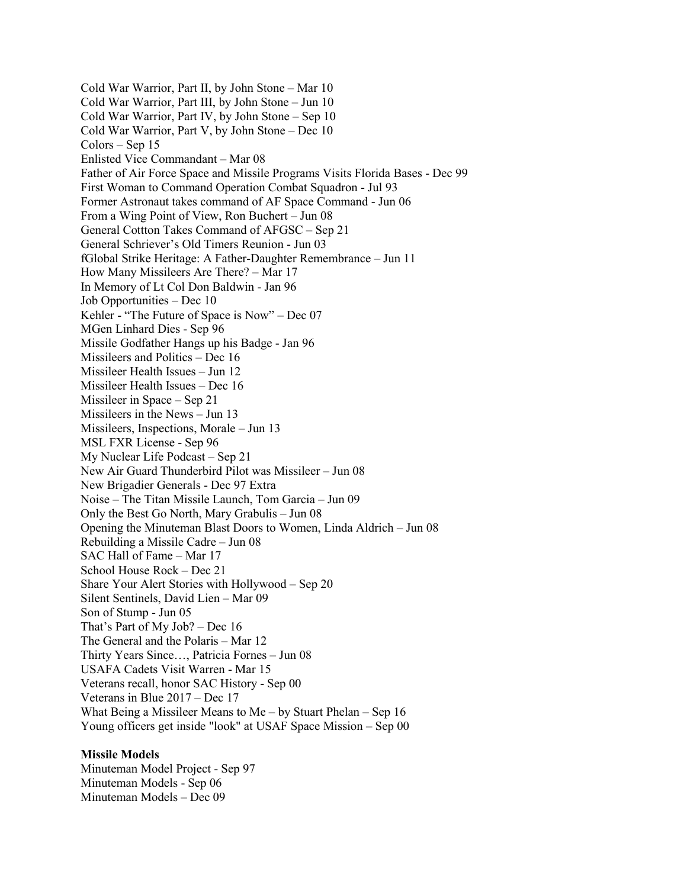Cold War Warrior, Part II, by John Stone – Mar 10 Cold War Warrior, Part III, by John Stone – Jun 10 Cold War Warrior, Part IV, by John Stone – Sep 10 Cold War Warrior, Part V, by John Stone – Dec 10 Colors – Sep 15 Enlisted Vice Commandant – Mar 08 Father of Air Force Space and Missile Programs Visits Florida Bases - Dec 99 First Woman to Command Operation Combat Squadron - Jul 93 Former Astronaut takes command of AF Space Command - Jun 06 From a Wing Point of View, Ron Buchert – Jun 08 General Cottton Takes Command of AFGSC – Sep 21 General Schriever's Old Timers Reunion - Jun 03 fGlobal Strike Heritage: A Father-Daughter Remembrance – Jun 11 How Many Missileers Are There? – Mar 17 In Memory of Lt Col Don Baldwin - Jan 96 Job Opportunities – Dec 10 Kehler - "The Future of Space is Now" – Dec 07 MGen Linhard Dies - Sep 96 Missile Godfather Hangs up his Badge - Jan 96 Missileers and Politics – Dec 16 Missileer Health Issues – Jun 12 Missileer Health Issues – Dec 16 Missileer in Space – Sep 21 Missileers in the News – Jun 13 Missileers, Inspections, Morale – Jun 13 MSL FXR License - Sep 96 My Nuclear Life Podcast – Sep 21 New Air Guard Thunderbird Pilot was Missileer – Jun 08 New Brigadier Generals - Dec 97 Extra Noise – The Titan Missile Launch, Tom Garcia – Jun 09 Only the Best Go North, Mary Grabulis – Jun 08 Opening the Minuteman Blast Doors to Women, Linda Aldrich – Jun 08 Rebuilding a Missile Cadre – Jun 08 SAC Hall of Fame – Mar 17 School House Rock – Dec 21 Share Your Alert Stories with Hollywood – Sep 20 Silent Sentinels, David Lien – Mar 09 Son of Stump - Jun 05 That's Part of My Job? – Dec 16 The General and the Polaris – Mar 12 Thirty Years Since…, Patricia Fornes – Jun 08 USAFA Cadets Visit Warren - Mar 15 Veterans recall, honor SAC History - Sep 00 Veterans in Blue 2017 – Dec 17 What Being a Missileer Means to Me – by Stuart Phelan – Sep 16 Young officers get inside "look" at USAF Space Mission – Sep 00

#### **Missile Models**

Minuteman Model Project - Sep 97 Minuteman Models - Sep 06 Minuteman Models – Dec 09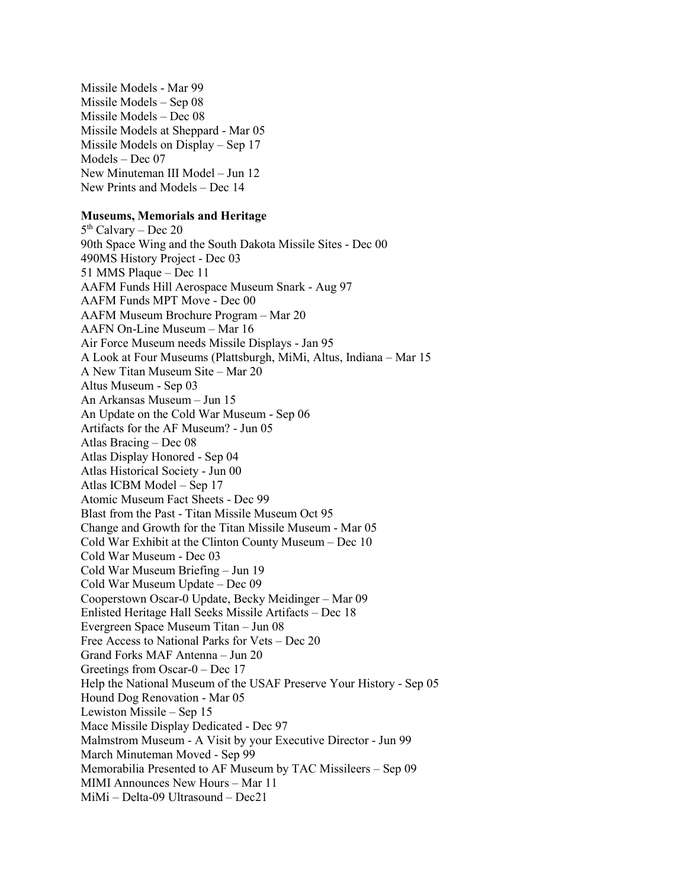Missile Models - Mar 99 Missile Models – Sep 08 Missile Models – Dec 08 Missile Models at Sheppard - Mar 05 Missile Models on Display – Sep 17 Models – Dec 07 New Minuteman III Model – Jun 12 New Prints and Models – Dec 14

# **Museums, Memorials and Heritage**

 $5<sup>th</sup>$  Calvary – Dec 20 90th Space Wing and the South Dakota Missile Sites - Dec 00 490MS History Project - Dec 03 51 MMS Plaque – Dec 11 AAFM Funds Hill Aerospace Museum Snark - Aug 97 AAFM Funds MPT Move - Dec 00 AAFM Museum Brochure Program – Mar 20 AAFN On-Line Museum – Mar 16 Air Force Museum needs Missile Displays - Jan 95 A Look at Four Museums (Plattsburgh, MiMi, Altus, Indiana – Mar 15 A New Titan Museum Site – Mar 20 Altus Museum - Sep 03 An Arkansas Museum – Jun 15 An Update on the Cold War Museum - Sep 06 Artifacts for the AF Museum? - Jun 05 Atlas Bracing – Dec 08 Atlas Display Honored - Sep 04 Atlas Historical Society - Jun 00 Atlas ICBM Model – Sep 17 Atomic Museum Fact Sheets - Dec 99 Blast from the Past - Titan Missile Museum Oct 95 Change and Growth for the Titan Missile Museum - Mar 05 Cold War Exhibit at the Clinton County Museum – Dec 10 Cold War Museum - Dec 03 Cold War Museum Briefing – Jun 19 Cold War Museum Update – Dec 09 Cooperstown Oscar-0 Update, Becky Meidinger – Mar 09 Enlisted Heritage Hall Seeks Missile Artifacts – Dec 18 Evergreen Space Museum Titan – Jun 08 Free Access to National Parks for Vets – Dec 20 Grand Forks MAF Antenna – Jun 20 Greetings from Oscar-0 – Dec 17 Help the National Museum of the USAF Preserve Your History - Sep 05 Hound Dog Renovation - Mar 05 Lewiston Missile – Sep 15 Mace Missile Display Dedicated - Dec 97 Malmstrom Museum - A Visit by your Executive Director - Jun 99 March Minuteman Moved - Sep 99 Memorabilia Presented to AF Museum by TAC Missileers – Sep 09 MIMI Announces New Hours – Mar 11 MiMi – Delta-09 Ultrasound – Dec21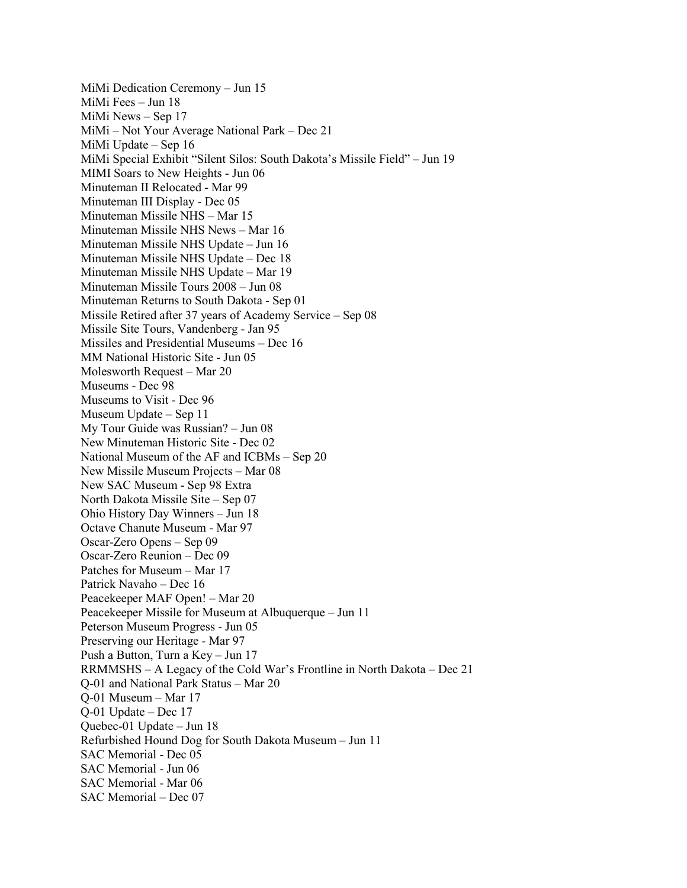MiMi Dedication Ceremony – Jun 15 MiMi Fees – Jun 18 MiMi News – Sep 17 MiMi – Not Your Average National Park – Dec 21 MiMi Update – Sep 16 MiMi Special Exhibit "Silent Silos: South Dakota's Missile Field" – Jun 19 MIMI Soars to New Heights - Jun 06 Minuteman II Relocated - Mar 99 Minuteman III Display - Dec 05 Minuteman Missile NHS – Mar 15 Minuteman Missile NHS News – Mar 16 Minuteman Missile NHS Update – Jun 16 Minuteman Missile NHS Update – Dec 18 Minuteman Missile NHS Update – Mar 19 Minuteman Missile Tours 2008 – Jun 08 Minuteman Returns to South Dakota - Sep 01 Missile Retired after 37 years of Academy Service – Sep 08 Missile Site Tours, Vandenberg - Jan 95 Missiles and Presidential Museums – Dec 16 MM National Historic Site - Jun 05 Molesworth Request – Mar 20 Museums - Dec 98 Museums to Visit - Dec 96 Museum Update – Sep 11 My Tour Guide was Russian? – Jun 08 New Minuteman Historic Site - Dec 02 National Museum of the AF and ICBMs – Sep 20 New Missile Museum Projects – Mar 08 New SAC Museum - Sep 98 Extra North Dakota Missile Site – Sep 07 Ohio History Day Winners – Jun 18 Octave Chanute Museum - Mar 97 Oscar-Zero Opens – Sep 09 Oscar-Zero Reunion – Dec 09 Patches for Museum – Mar 17 Patrick Navaho – Dec 16 Peacekeeper MAF Open! – Mar 20 Peacekeeper Missile for Museum at Albuquerque – Jun 11 Peterson Museum Progress - Jun 05 Preserving our Heritage - Mar 97 Push a Button, Turn a Key – Jun 17 RRMMSHS – A Legacy of the Cold War's Frontline in North Dakota – Dec 21 Q-01 and National Park Status – Mar 20 Q-01 Museum – Mar 17 Q-01 Update – Dec 17 Quebec-01 Update – Jun 18 Refurbished Hound Dog for South Dakota Museum – Jun 11 SAC Memorial - Dec 05 SAC Memorial - Jun 06 SAC Memorial - Mar 06 SAC Memorial – Dec 07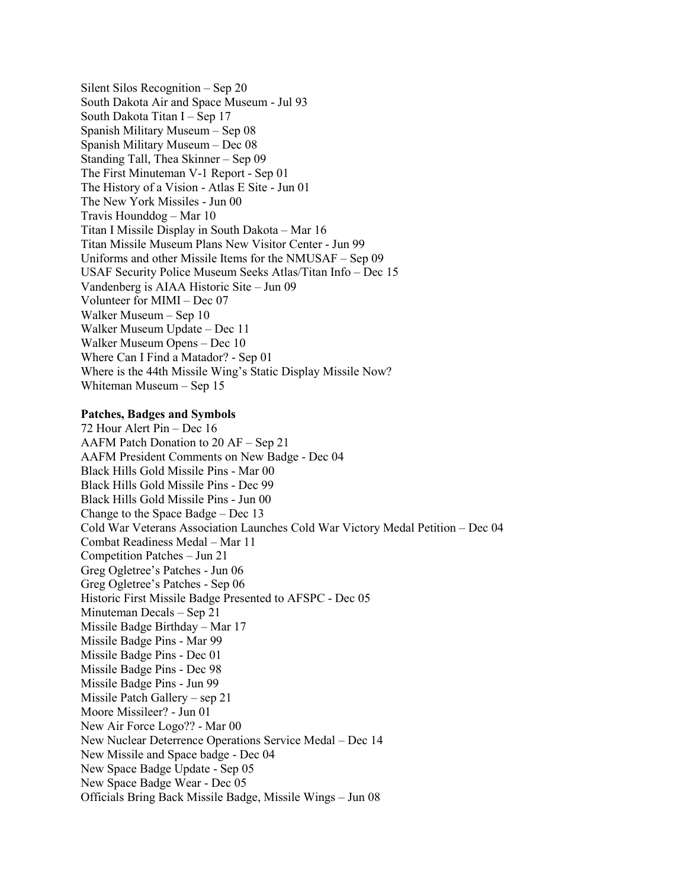Silent Silos Recognition – Sep 20 South Dakota Air and Space Museum - Jul 93 South Dakota Titan I – Sep 17 Spanish Military Museum – Sep 08 Spanish Military Museum – Dec 08 Standing Tall, Thea Skinner – Sep 09 The First Minuteman V-1 Report - Sep 01 The History of a Vision - Atlas E Site - Jun 01 The New York Missiles - Jun 00 Travis Hounddog – Mar 10 Titan I Missile Display in South Dakota – Mar 16 Titan Missile Museum Plans New Visitor Center - Jun 99 Uniforms and other Missile Items for the NMUSAF – Sep 09 USAF Security Police Museum Seeks Atlas/Titan Info – Dec 15 Vandenberg is AIAA Historic Site – Jun 09 Volunteer for MIMI – Dec 07 Walker Museum – Sep 10 Walker Museum Update – Dec 11 Walker Museum Opens – Dec 10 Where Can I Find a Matador? - Sep 01 Where is the 44th Missile Wing's Static Display Missile Now? Whiteman Museum – Sep 15

## **Patches, Badges and Symbols**

72 Hour Alert Pin – Dec 16 AAFM Patch Donation to 20 AF – Sep 21 AAFM President Comments on New Badge - Dec 04 Black Hills Gold Missile Pins - Mar 00 Black Hills Gold Missile Pins - Dec 99 Black Hills Gold Missile Pins - Jun 00 Change to the Space Badge – Dec 13 Cold War Veterans Association Launches Cold War Victory Medal Petition – Dec 04 Combat Readiness Medal – Mar 11 Competition Patches – Jun 21 Greg Ogletree's Patches - Jun 06 Greg Ogletree's Patches - Sep 06 Historic First Missile Badge Presented to AFSPC - Dec 05 Minuteman Decals – Sep 21 Missile Badge Birthday – Mar 17 Missile Badge Pins - Mar 99 Missile Badge Pins - Dec 01 Missile Badge Pins - Dec 98 Missile Badge Pins - Jun 99 Missile Patch Gallery – sep 21 Moore Missileer? - Jun 01 New Air Force Logo?? - Mar 00 New Nuclear Deterrence Operations Service Medal – Dec 14 New Missile and Space badge - Dec 04 New Space Badge Update - Sep 05 New Space Badge Wear - Dec 05 Officials Bring Back Missile Badge, Missile Wings – Jun 08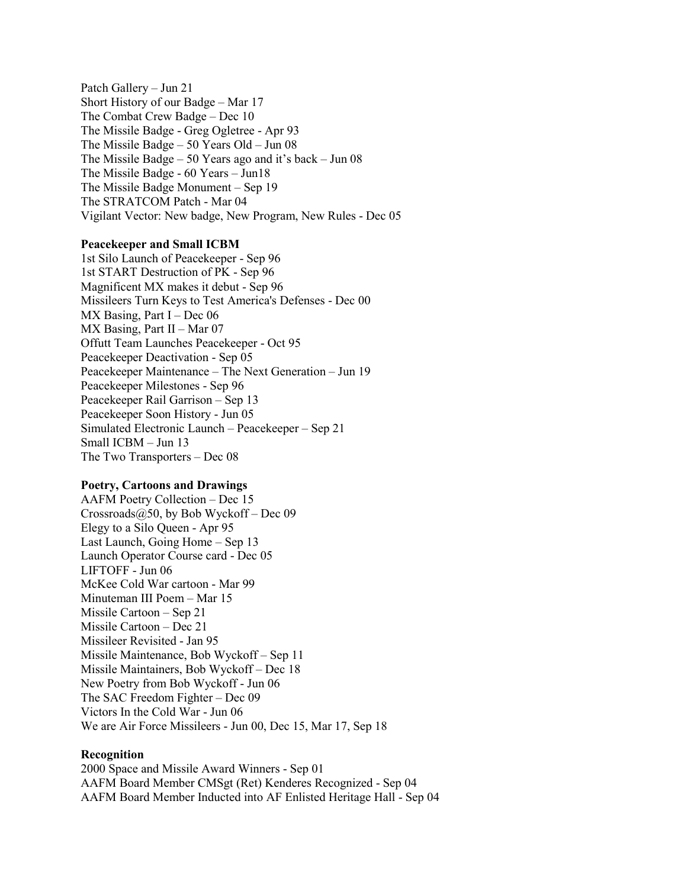Patch Gallery – Jun 21 Short History of our Badge – Mar 17 The Combat Crew Badge – Dec 10 The Missile Badge - Greg Ogletree - Apr 93 The Missile Badge – 50 Years Old – Jun 08 The Missile Badge – 50 Years ago and it's back – Jun 08 The Missile Badge - 60 Years – Jun18 The Missile Badge Monument – Sep 19 The STRATCOM Patch - Mar 04 Vigilant Vector: New badge, New Program, New Rules - Dec 05

## **Peacekeeper and Small ICBM**

1st Silo Launch of Peacekeeper - Sep 96 1st START Destruction of PK - Sep 96 Magnificent MX makes it debut - Sep 96 Missileers Turn Keys to Test America's Defenses - Dec 00  $MX$  Basing, Part I – Dec 06 MX Basing, Part II – Mar 07 Offutt Team Launches Peacekeeper - Oct 95 Peacekeeper Deactivation - Sep 05 Peacekeeper Maintenance – The Next Generation – Jun 19 Peacekeeper Milestones - Sep 96 Peacekeeper Rail Garrison – Sep 13 Peacekeeper Soon History - Jun 05 Simulated Electronic Launch – Peacekeeper – Sep 21 Small ICBM – Jun 13 The Two Transporters – Dec 08

#### **Poetry, Cartoons and Drawings**

AAFM Poetry Collection – Dec 15 Crossroads@50, by Bob Wyckoff – Dec 09 Elegy to a Silo Queen - Apr 95 Last Launch, Going Home – Sep 13 Launch Operator Course card - Dec 05 LIFTOFF - Jun 06 McKee Cold War cartoon - Mar 99 Minuteman III Poem – Mar 15 Missile Cartoon – Sep 21 Missile Cartoon – Dec 21 Missileer Revisited - Jan 95 Missile Maintenance, Bob Wyckoff – Sep 11 Missile Maintainers, Bob Wyckoff – Dec 18 New Poetry from Bob Wyckoff - Jun 06 The SAC Freedom Fighter – Dec 09 Victors In the Cold War - Jun 06 We are Air Force Missileers - Jun 00, Dec 15, Mar 17, Sep 18

#### **Recognition**

2000 Space and Missile Award Winners - Sep 01 AAFM Board Member CMSgt (Ret) Kenderes Recognized - Sep 04 AAFM Board Member Inducted into AF Enlisted Heritage Hall - Sep 04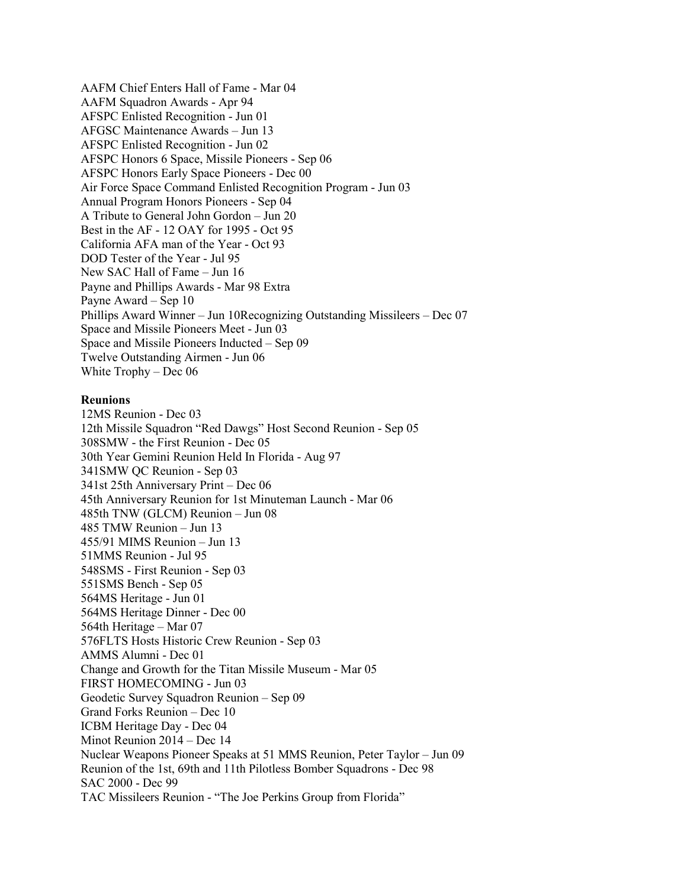AAFM Chief Enters Hall of Fame - Mar 04 AAFM Squadron Awards - Apr 94 AFSPC Enlisted Recognition - Jun 01 AFGSC Maintenance Awards – Jun 13 AFSPC Enlisted Recognition - Jun 02 AFSPC Honors 6 Space, Missile Pioneers - Sep 06 AFSPC Honors Early Space Pioneers - Dec 00 Air Force Space Command Enlisted Recognition Program - Jun 03 Annual Program Honors Pioneers - Sep 04 A Tribute to General John Gordon – Jun 20 Best in the AF - 12 OAY for 1995 - Oct 95 California AFA man of the Year - Oct 93 DOD Tester of the Year - Jul 95 New SAC Hall of Fame – Jun 16 Payne and Phillips Awards - Mar 98 Extra Payne Award – Sep 10 Phillips Award Winner – Jun 10Recognizing Outstanding Missileers – Dec 07 Space and Missile Pioneers Meet - Jun 03 Space and Missile Pioneers Inducted – Sep 09 Twelve Outstanding Airmen - Jun 06 White Trophy – Dec 06

# **Reunions**

12MS Reunion - Dec 03 12th Missile Squadron "Red Dawgs" Host Second Reunion - Sep 05 308SMW - the First Reunion - Dec 05 30th Year Gemini Reunion Held In Florida - Aug 97 341SMW QC Reunion - Sep 03 341st 25th Anniversary Print – Dec 06 45th Anniversary Reunion for 1st Minuteman Launch - Mar 06 485th TNW (GLCM) Reunion – Jun 08 485 TMW Reunion – Jun 13 455/91 MIMS Reunion – Jun 13 51MMS Reunion - Jul 95 548SMS - First Reunion - Sep 03 551SMS Bench - Sep 05 564MS Heritage - Jun 01 564MS Heritage Dinner - Dec 00 564th Heritage – Mar 07 576FLTS Hosts Historic Crew Reunion - Sep 03 AMMS Alumni - Dec 01 Change and Growth for the Titan Missile Museum - Mar 05 FIRST HOMECOMING - Jun 03 Geodetic Survey Squadron Reunion – Sep 09 Grand Forks Reunion – Dec 10 ICBM Heritage Day - Dec 04 Minot Reunion 2014 – Dec 14 Nuclear Weapons Pioneer Speaks at 51 MMS Reunion, Peter Taylor – Jun 09 Reunion of the 1st, 69th and 11th Pilotless Bomber Squadrons - Dec 98 SAC 2000 - Dec 99 TAC Missileers Reunion - "The Joe Perkins Group from Florida"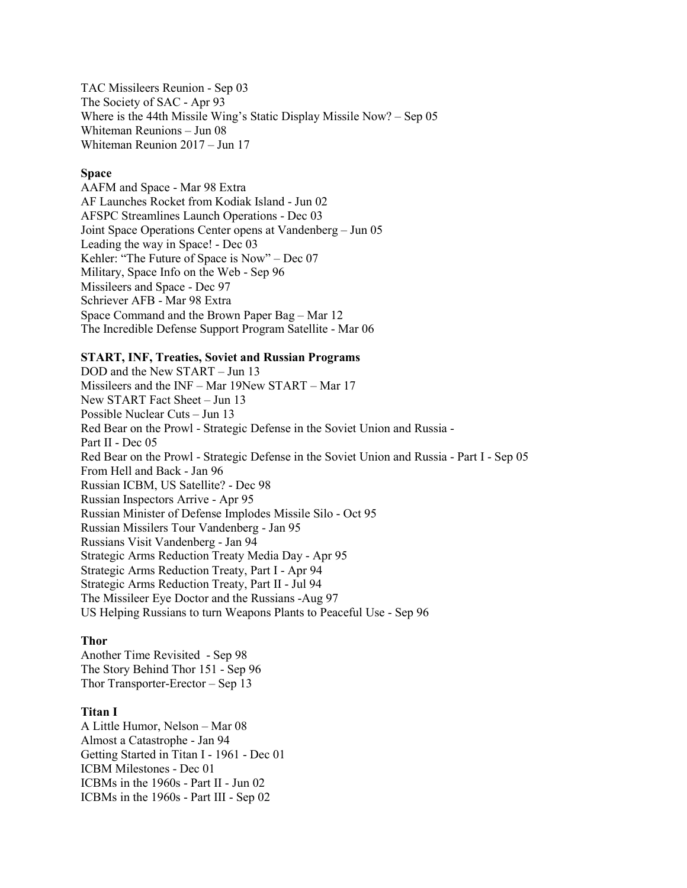TAC Missileers Reunion - Sep 03 The Society of SAC - Apr 93 Where is the 44th Missile Wing's Static Display Missile Now? – Sep 05 Whiteman Reunions – Jun 08 Whiteman Reunion 2017 – Jun 17

# **Space**

AAFM and Space - Mar 98 Extra AF Launches Rocket from Kodiak Island - Jun 02 AFSPC Streamlines Launch Operations - Dec 03 Joint Space Operations Center opens at Vandenberg – Jun 05 Leading the way in Space! - Dec 03 Kehler: "The Future of Space is Now" – Dec 07 Military, Space Info on the Web - Sep 96 Missileers and Space - Dec 97 Schriever AFB - Mar 98 Extra Space Command and the Brown Paper Bag – Mar 12 The Incredible Defense Support Program Satellite - Mar 06

## **START, INF, Treaties, Soviet and Russian Programs**

DOD and the New START – Jun 13 Missileers and the INF – Mar 19New START – Mar 17 New START Fact Sheet – Jun 13 Possible Nuclear Cuts – Jun 13 Red Bear on the Prowl - Strategic Defense in the Soviet Union and Russia - Part II - Dec 05 Red Bear on the Prowl - Strategic Defense in the Soviet Union and Russia - Part I - Sep 05 From Hell and Back - Jan 96 Russian ICBM, US Satellite? - Dec 98 Russian Inspectors Arrive - Apr 95 Russian Minister of Defense Implodes Missile Silo - Oct 95 Russian Missilers Tour Vandenberg - Jan 95 Russians Visit Vandenberg - Jan 94 Strategic Arms Reduction Treaty Media Day - Apr 95 Strategic Arms Reduction Treaty, Part I - Apr 94 Strategic Arms Reduction Treaty, Part II - Jul 94 The Missileer Eye Doctor and the Russians -Aug 97 US Helping Russians to turn Weapons Plants to Peaceful Use - Sep 96

## **Thor**

Another Time Revisited - Sep 98 The Story Behind Thor 151 - Sep 96 Thor Transporter-Erector – Sep 13

## **Titan I**

A Little Humor, Nelson – Mar 08 Almost a Catastrophe - Jan 94 Getting Started in Titan I - 1961 - Dec 01 ICBM Milestones - Dec 01 ICBMs in the 1960s - Part II - Jun 02 ICBMs in the 1960s - Part III - Sep 02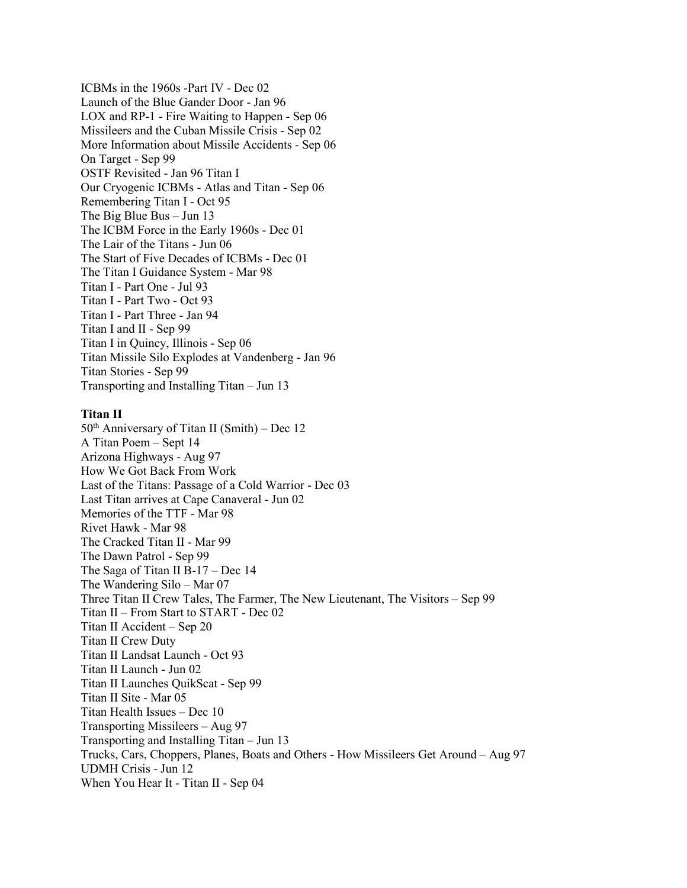ICBMs in the 1960s -Part IV - Dec 02 Launch of the Blue Gander Door - Jan 96 LOX and RP-1 - Fire Waiting to Happen - Sep 06 Missileers and the Cuban Missile Crisis - Sep 02 More Information about Missile Accidents - Sep 06 On Target - Sep 99 OSTF Revisited - Jan 96 Titan I Our Cryogenic ICBMs - Atlas and Titan - Sep 06 Remembering Titan I - Oct 95 The Big Blue Bus – Jun 13 The ICBM Force in the Early 1960s - Dec 01 The Lair of the Titans - Jun 06 The Start of Five Decades of ICBMs - Dec 01 The Titan I Guidance System - Mar 98 Titan I - Part One - Jul 93 Titan I - Part Two - Oct 93 Titan I - Part Three - Jan 94 Titan I and II - Sep 99 Titan I in Quincy, Illinois - Sep 06 Titan Missile Silo Explodes at Vandenberg - Jan 96 Titan Stories - Sep 99 Transporting and Installing Titan – Jun 13

## **Titan II**

 $50<sup>th</sup>$  Anniversary of Titan II (Smith) – Dec 12 A Titan Poem – Sept 14 Arizona Highways - Aug 97 How We Got Back From Work Last of the Titans: Passage of a Cold Warrior - Dec 03 Last Titan arrives at Cape Canaveral - Jun 02 Memories of the TTF - Mar 98 Rivet Hawk - Mar 98 The Cracked Titan II - Mar 99 The Dawn Patrol - Sep 99 The Saga of Titan II B-17 – Dec 14 The Wandering Silo – Mar 07 Three Titan II Crew Tales, The Farmer, The New Lieutenant, The Visitors – Sep 99 Titan II – From Start to START - Dec 02 Titan II Accident – Sep 20 Titan II Crew Duty Titan II Landsat Launch - Oct 93 Titan II Launch - Jun 02 Titan II Launches QuikScat - Sep 99 Titan II Site - Mar 05 Titan Health Issues – Dec 10 Transporting Missileers – Aug 97 Transporting and Installing Titan – Jun 13 Trucks, Cars, Choppers, Planes, Boats and Others - How Missileers Get Around – Aug 97 UDMH Crisis - Jun 12 When You Hear It - Titan II - Sep 04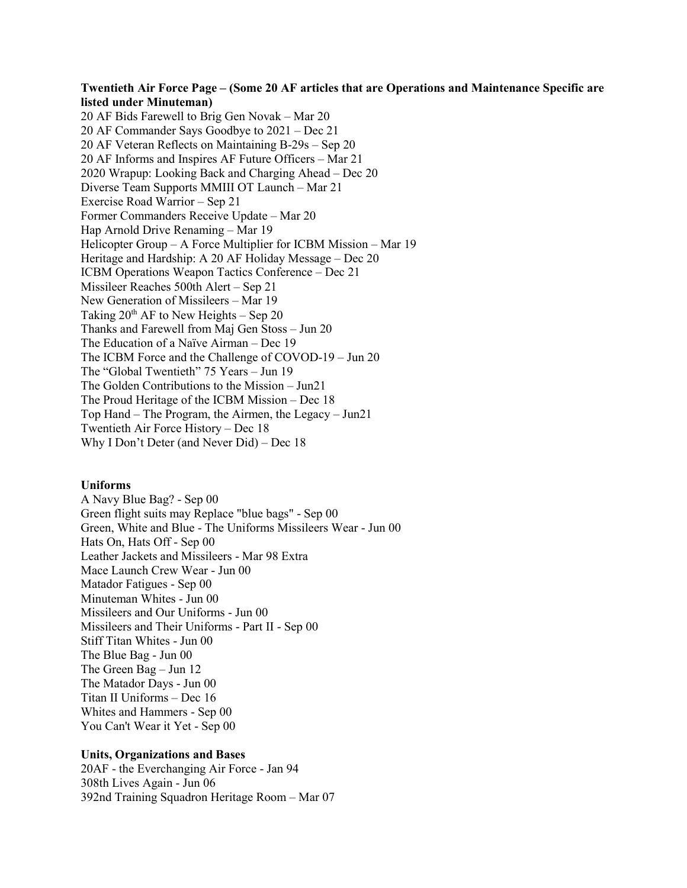# **Twentieth Air Force Page – (Some 20 AF articles that are Operations and Maintenance Specific are listed under Minuteman)**

20 AF Bids Farewell to Brig Gen Novak – Mar 20 20 AF Commander Says Goodbye to 2021 – Dec 21 20 AF Veteran Reflects on Maintaining B-29s – Sep 20 20 AF Informs and Inspires AF Future Officers – Mar 21 2020 Wrapup: Looking Back and Charging Ahead – Dec 20 Diverse Team Supports MMIII OT Launch – Mar 21 Exercise Road Warrior – Sep 21 Former Commanders Receive Update – Mar 20 Hap Arnold Drive Renaming – Mar 19 Helicopter Group – A Force Multiplier for ICBM Mission – Mar 19 Heritage and Hardship: A 20 AF Holiday Message – Dec 20 ICBM Operations Weapon Tactics Conference – Dec 21 Missileer Reaches 500th Alert – Sep 21 New Generation of Missileers – Mar 19 Taking  $20^{th}$  AF to New Heights – Sep 20 Thanks and Farewell from Maj Gen Stoss – Jun 20 The Education of a Naïve Airman – Dec 19 The ICBM Force and the Challenge of COVOD-19 – Jun 20 The "Global Twentieth" 75 Years – Jun 19 The Golden Contributions to the Mission – Jun21 The Proud Heritage of the ICBM Mission – Dec 18 Top Hand – The Program, the Airmen, the Legacy – Jun21 Twentieth Air Force History – Dec 18 Why I Don't Deter (and Never Did) – Dec 18

#### **Uniforms**

A Navy Blue Bag? - Sep 00 Green flight suits may Replace "blue bags" - Sep 00 Green, White and Blue - The Uniforms Missileers Wear - Jun 00 Hats On, Hats Off - Sep 00 Leather Jackets and Missileers - Mar 98 Extra Mace Launch Crew Wear - Jun 00 Matador Fatigues - Sep 00 Minuteman Whites - Jun 00 Missileers and Our Uniforms - Jun 00 Missileers and Their Uniforms - Part II - Sep 00 Stiff Titan Whites - Jun 00 The Blue Bag - Jun 00 The Green Bag – Jun 12 The Matador Days - Jun 00 Titan II Uniforms – Dec 16 Whites and Hammers - Sep 00 You Can't Wear it Yet - Sep 00

## **Units, Organizations and Bases**

20AF - the Everchanging Air Force - Jan 94 308th Lives Again - Jun 06 392nd Training Squadron Heritage Room – Mar 07